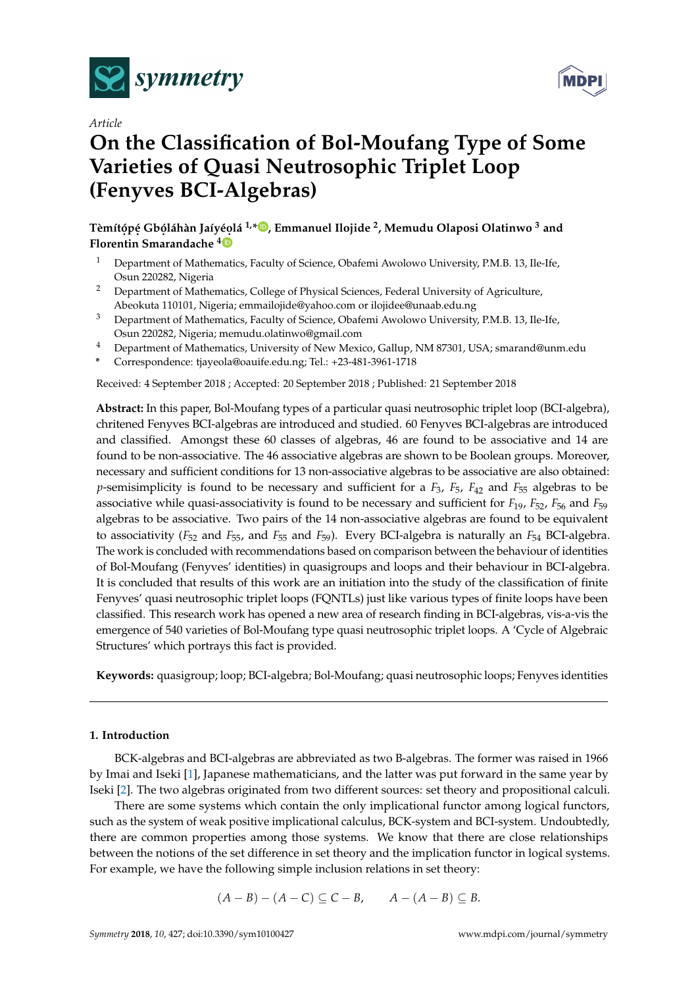





# **On the Classification of Bol-Moufang Type of Some Varieties of Quasi Neutrosophic Triplet Loop (Fenyves BCI-Algebras)**

 $\bf{T}$ èmítópé Gbóláhàn Jaíyéolá <sup>1[,](https://orcid.org/0000-0002-8695-5478)</sup>\*®, Emmanuel Ilojide <sup>2</sup>, Memudu Olaposi Olatinwo <sup>3</sup> and **Florentin Smarandache <sup>4</sup>**

- <sup>1</sup> Department of Mathematics, Faculty of Science, Obafemi Awolowo University, P.M.B. 13, Ile-Ife, Osun 220282, Nigeria
- <sup>2</sup> Department of Mathematics, College of Physical Sciences, Federal University of Agriculture, Abeokuta 110101, Nigeria; emmailojide@yahoo.com or ilojidee@unaab.edu.ng
- <sup>3</sup> Department of Mathematics, Faculty of Science, Obafemi Awolowo University, P.M.B. 13, Ile-Ife, Osun 220282, Nigeria; memudu.olatinwo@gmail.com
- <sup>4</sup> Department of Mathematics, University of New Mexico, Gallup, NM 87301, USA; smarand@unm.edu
- **\*** Correspondence: tjayeola@oauife.edu.ng; Tel.: +23-481-3961-1718

Received: 4 September 2018 ; Accepted: 20 September 2018 ; Published: 21 September 2018

**Abstract:** In this paper, Bol-Moufang types of a particular quasi neutrosophic triplet loop (BCI-algebra), chritened Fenyves BCI-algebras are introduced and studied. 60 Fenyves BCI-algebras are introduced and classified. Amongst these 60 classes of algebras, 46 are found to be associative and 14 are found to be non-associative. The 46 associative algebras are shown to be Boolean groups. Moreover, necessary and sufficient conditions for 13 non-associative algebras to be associative are also obtained: *p*-semisimplicity is found to be necessary and sufficient for a *F*3, *F*5, *F*<sup>42</sup> and *F*<sup>55</sup> algebras to be associative while quasi-associativity is found to be necessary and sufficient for *F*19, *F*52, *F*<sup>56</sup> and *F*<sup>59</sup> algebras to be associative. Two pairs of the 14 non-associative algebras are found to be equivalent to associativity (*F*<sup>52</sup> and *F*55, and *F*<sup>55</sup> and *F*59). Every BCI-algebra is naturally an *F*<sup>54</sup> BCI-algebra. The work is concluded with recommendations based on comparison between the behaviour of identities of Bol-Moufang (Fenyves' identities) in quasigroups and loops and their behaviour in BCI-algebra. It is concluded that results of this work are an initiation into the study of the classification of finite Fenyves' quasi neutrosophic triplet loops (FQNTLs) just like various types of finite loops have been classified. This research work has opened a new area of research finding in BCI-algebras, vis-a-vis the emergence of 540 varieties of Bol-Moufang type quasi neutrosophic triplet loops. A 'Cycle of Algebraic Structures' which portrays this fact is provided.

**Keywords:** quasigroup; loop; BCI-algebra; Bol-Moufang; quasi neutrosophic loops; Fenyves identities

### **1. Introduction**

BCK-algebras and BCI-algebras are abbreviated as two B-algebras. The former was raised in 1966 by Imai and Iseki [\[1\]](#page-14-0), Japanese mathematicians, and the latter was put forward in the same year by Iseki [\[2\]](#page-14-1). The two algebras originated from two different sources: set theory and propositional calculi.

There are some systems which contain the only implicational functor among logical functors, such as the system of weak positive implicational calculus, BCK-system and BCI-system. Undoubtedly, there are common properties among those systems. We know that there are close relationships between the notions of the set difference in set theory and the implication functor in logical systems. For example, we have the following simple inclusion relations in set theory:

$$
(A-B)-(A-C)\subseteq C-B, \qquad A-(A-B)\subseteq B.
$$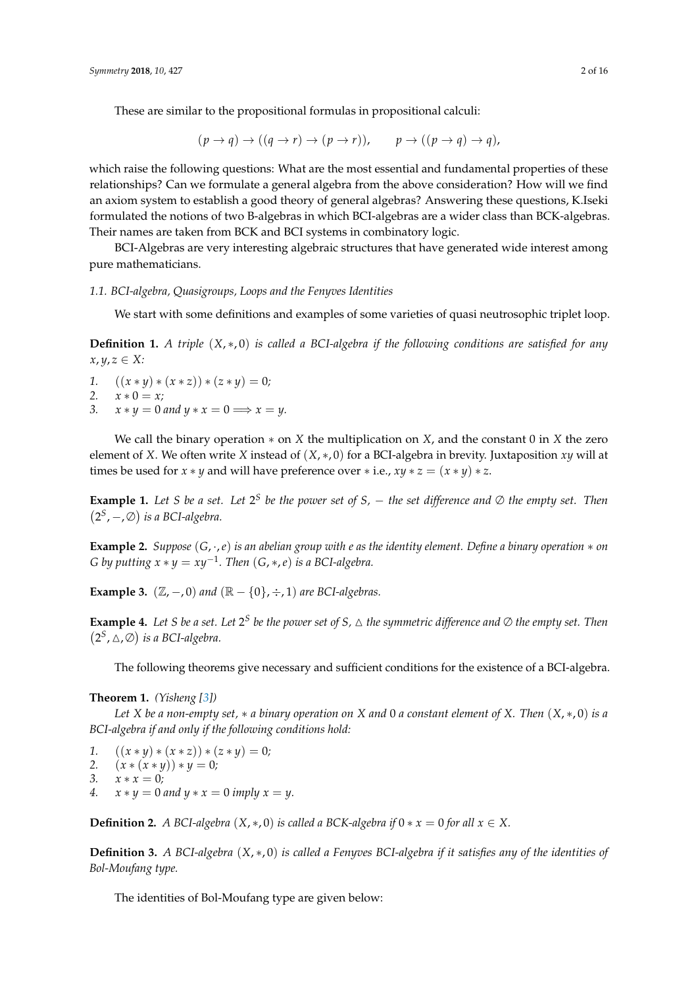These are similar to the propositional formulas in propositional calculi:

$$
(p \to q) \to ((q \to r) \to (p \to r)), \qquad p \to ((p \to q) \to q),
$$

which raise the following questions: What are the most essential and fundamental properties of these relationships? Can we formulate a general algebra from the above consideration? How will we find an axiom system to establish a good theory of general algebras? Answering these questions, K.Iseki formulated the notions of two B-algebras in which BCI-algebras are a wider class than BCK-algebras. Their names are taken from BCK and BCI systems in combinatory logic.

BCI-Algebras are very interesting algebraic structures that have generated wide interest among pure mathematicians.

#### *1.1. BCI-algebra, Quasigroups, Loops and the Fenyves Identities*

We start with some definitions and examples of some varieties of quasi neutrosophic triplet loop.

**Definition 1.** *A triple* (*X*, ∗, 0) *is called a BCI-algebra if the following conditions are satisfied for any*  $x, y, z \in X$ :

*1.*  $((x * y) * (x * z)) * (z * y) = 0;$ 

$$
2. \qquad x * 0 = x;
$$

3.  $x * y = 0$  and  $y * x = 0 \Longrightarrow x = y$ .

We call the binary operation ∗ on *X* the multiplication on *X*, and the constant 0 in *X* the zero element of *X*. We often write *X* instead of (*X*, ∗, 0) for a BCI-algebra in brevity. Juxtaposition *xy* will at times be used for *x*  $*\gamma$  and will have preference over  $*\iota$  *i.e.,*  $xy * z = (x * \gamma) * z$ *.* 

<span id="page-1-1"></span>**Example 1.** Let *S* be a set. Let  $2^S$  be the power set of *S*,  $-$  the set difference and  $\emptyset$  the empty set. Then  $(2<sup>S</sup>, -, \emptyset)$  is a BCI-algebra.

<span id="page-1-0"></span>**Example 2.** *Suppose* (*G*, ·,*e*) *is an abelian group with e as the identity element. Define a binary operation* ∗ *on G* by putting  $x * y = xy^{-1}$ . Then  $(G, *, e)$  is a BCI-algebra.

**Example 3.**  $(\mathbb{Z}, -0)$  *and*  $(\mathbb{R} - \{0\}, \div, 1)$  *are BCI-algebras.* 

<span id="page-1-2"></span>**Example 4.** Let *S* be a set. Let  $2^S$  be the power set of *S*,  $\triangle$  the symmetric difference and  $\oslash$  the empty set. Then  $(2^S, \triangle, \varnothing)$  is a BCI-algebra.

The following theorems give necessary and sufficient conditions for the existence of a BCI-algebra.

## **Theorem 1.** *(Yisheng [\[3\]](#page-14-2))*

*Let X be a non-empty set,* ∗ *a binary operation on X and* 0 *a constant element of X. Then* (*X*, ∗, 0) *is a BCI-algebra if and only if the following conditions hold:*

*1.*  $((x * y) * (x * z)) * (z * y) = 0;$ 

2. 
$$
(x * (x * y)) * y = 0;
$$

$$
3. \quad x * x = 0;
$$

*4.*  $x * y = 0$  and  $y * x = 0$  imply  $x = y$ .

**Definition 2.** *A BCI-algebra* (*X*, \*, 0) *is called a BCK-algebra if*  $0 * x = 0$  *for all*  $x \in X$ .

**Definition 3.** *A BCI-algebra* (*X*, ∗, 0) *is called a Fenyves BCI-algebra if it satisfies any of the identities of Bol-Moufang type.*

The identities of Bol-Moufang type are given below: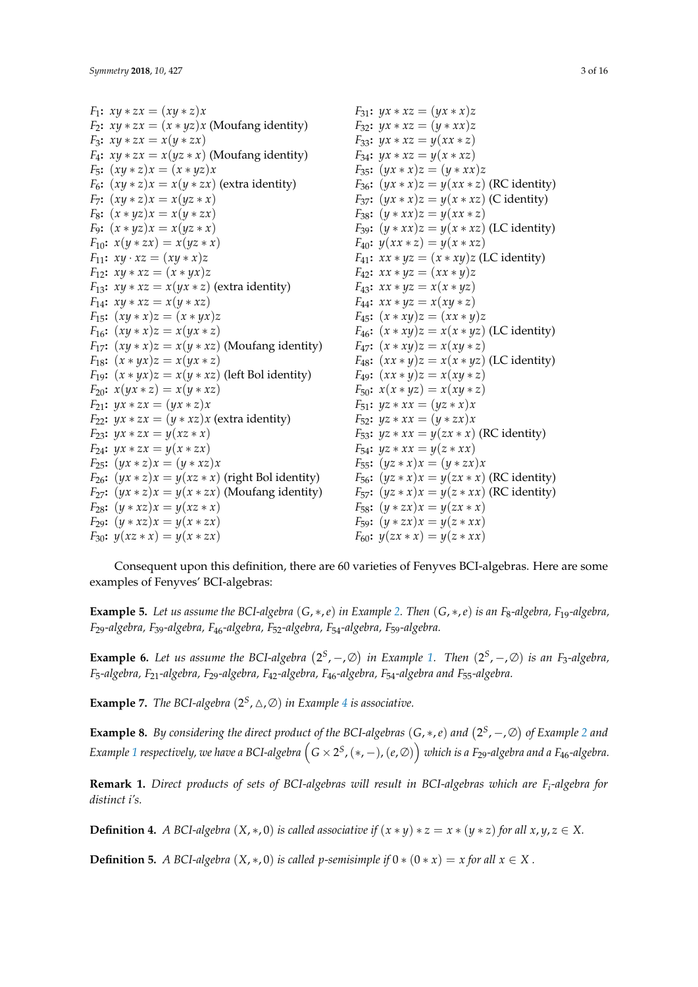*F*<sub>1</sub>:  $xy * zx = (xy * z)x$ *F*<sub>2</sub>**:**  $xy * zx = (x * yz)x$  (Moufang identity) *F*<sub>3</sub>:  $xy * zx = x(y * zx)$ *F*<sub>4</sub>**:**  $xy * zx = x(yz * x)$  (Moufang identity) *F*<sub>5</sub>:  $(xy * z)x = (x * yz)x$ *F*<sub>6</sub>**:**  $(xy * z)x = x(y * zx)$  (extra identity) *F*<sub>7</sub>**:**  $(xy * z)x = x(yz * x)$ *F*<sub>8</sub>:  $(x * yz)x = x(y * zx)$ *F*<sub>9</sub>:  $(x * yz)x = x(yz * x)$ *F*<sub>10</sub>:  $x(y * zx) = x(yz * x)$  $F_{11}$ :  $xy \cdot xz = (xy * x)z$ *F*<sub>12</sub>**:**  $xy * xz = (x * yx)z$ *F*<sub>13</sub>**:**  $xy * xz = x(yx * z)$  (extra identity) *F*<sub>14</sub>:  $xy * xz = x(y * xz)$ *F*<sub>15</sub>:  $(xy * x)z = (x * yx)z$ *F*<sub>16</sub>**:**  $(xy * x)z = x(yx * z)$ *F*<sub>17</sub>**:**  $(xy * x)z = x(y * xz)$  (Moufang identity) *F*<sub>18</sub>**:**  $(x * yx)z = x(yx * z)$ *F*<sub>19</sub>**:**  $(x * yx)z = x(y * xz)$  (left Bol identity)  $F_{20}$ :  $x(yx * z) = x(y * xz)$ *F*<sub>21</sub>:  $yx * zx = (yx * z)x$ *F*<sub>22</sub>**:**  $yx * zx = (y * xz)x$  (extra identity) *F*<sub>23</sub>:  $yx * zx = y(xz * x)$ *F*<sub>24</sub>:  $yx * zx = y(x * zx)$ *F*<sub>25</sub>:  $(yx * z)x = (y * xz)x$ *F*<sub>26</sub>**:**  $(yx * z)x = y(xz * x)$  (right Bol identity) *F*<sub>27</sub>**:**  $(yx * z)x = y(x * zx)$  (Moufang identity) *F*<sub>28</sub>:  $(y * xz)x = y(xz * x)$ *F*<sub>29</sub>:  $(y * xz)x = y(x * zx)$ *F*<sub>30</sub>:  $y(xz * x) = y(x * zx)$ *F*<sub>31</sub>:  $yx * xz = (yx * x)z$ *F*<sub>32</sub>:  $yx * xz = (y * xx)z$ *F*<sub>33</sub>:  $yx * xz = y(xx * z)$ *F*<sub>34</sub>:  $yx * xz = y(x * xz)$ *F*<sub>35</sub>:  $(yx * x)z = (y * xx)z$ *F*<sub>36</sub>**:** ( $yx * x$ ) $z = y(xx * z)$  (RC identity) *F*<sub>37</sub>**:** ( $yx * x$ ) $z = y(x * xz)$  (C identity) *F*<sub>38</sub>:  $(y * xx)z = y(xx * z)$ *F*<sub>39</sub>:  $(y * xx)z = y(x * xz)$  (LC identity) *F*<sub>40</sub>:  $y(xx * z) = y(x * xz)$  $F_{41}$ :  $xx * yz = (x * xy)z$  (LC identity)  $F_{42}$ :  $xx * yz = (xx * y)z$  $F_{43}$ :  $xx * yz = x(x * yz)$  $F_{44}$ :  $xx * yz = x(xy * z)$  $F_{45}$ :  $(x * xy)z = (xx * y)z$ *F*<sub>46</sub>**:**  $(x * xy)z = x(x * yz)$  (LC identity)  $F_{47}$ :  $(x * xy)z = x(xy * z)$ *F*<sub>48</sub>**:**  $(xx * y)z = x(x * yz)$  (LC identity)  $F_{49}$ :  $(xx * y)z = x(xy * z)$  $F_{50}$ :  $x(x * yz) = x(xy * z)$ *F*<sub>51</sub>:  $yz * xx = (yz * x)x$ *F*<sub>52</sub>**:**  $yz * xx = (y * zx)x$ *F*<sub>53</sub>:  $yz * xx = y(zx * x)$  (RC identity) *F*<sub>54</sub>**:**  $yz * xx = y(z * xx)$  $F_{55}$ :  $(yz * x)x = (y * zx)x$ *F*<sub>56</sub>**:**  $(yz * x)x = y(zx * x)$  (RC identity) *F*<sub>57</sub>**:** ( $yz * x$ ) $x = y(z * xx)$  (RC identity) *F*<sub>58</sub>**:**  $(y * zx)x = y(zx * x)$ *F*<sub>59</sub>:  $(y * zx)x = y(z * xx)$ *F*<sub>60</sub>:  $y(zx * x) = y(z * xx)$ 

Consequent upon this definition, there are 60 varieties of Fenyves BCI-algebras. Here are some examples of Fenyves' BCI-algebras:

**Example 5.** Let us assume the BCI-algebra  $(G, *, e)$  in Example [2.](#page-1-0) Then  $(G, *, e)$  is an  $F_8$ -algebra,  $F_{19}$ -algebra, *F*29*-algebra, F*39*-algebra, F*46*-algebra, F*52*-algebra, F*54*-algebra, F*59*-algebra.*

**Example 6.** Let us assume the BCI-algebra  $(2^S, -\mathcal{A})$  in Example [1.](#page-1-1) Then  $(2^S, -\mathcal{A})$  is an F<sub>3</sub>-algebra, *F*5*-algebra, F*21*-algebra, F*29*-algebra, F*42*-algebra, F*46*-algebra, F*54*-algebra and F*55*-algebra.*

**Example 7.** *The BCI-algebra*  $(2^S, \triangle, \emptyset)$  *in Example* [4](#page-1-2) *is associative.* 

**Example 8.** By considering the direct product of the BCI-algebras  $(G, *, e)$  and  $(2^S, -, \emptyset)$  $(2^S, -, \emptyset)$  $(2^S, -, \emptyset)$  of Example 2 and Example [1](#page-1-1) respectively, we have a BCI-algebra  $\left(G\times 2^S,(*,-), (e,\varnothing)\right)$  which is a F<sub>29</sub>-algebra and a F<sub>46</sub>-algebra.

**Remark 1.** *Direct products of sets of BCI-algebras will result in BCI-algebras which are F<sup>i</sup> -algebra for distinct i's.*

**Definition 4.** *A BCI-algebra*  $(X, *, 0)$  *is called associative if*  $(x * y) * z = x * (y * z)$  *for all x*, *y*,  $z \in X$ .

**Definition 5.** *A BCI-algebra* (*X*, \*, 0) *is called p-semisimple if*  $0 * (0 * x) = x$  *for all*  $x \in X$ .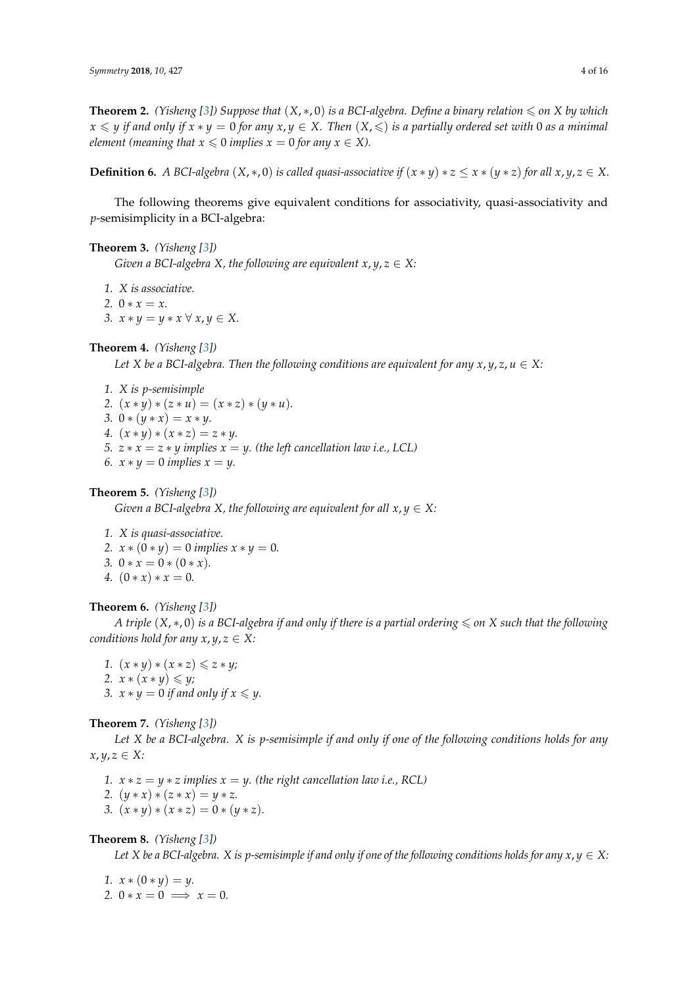**Theorem 2.** *(Yisheng [\[3\]](#page-14-2))* Suppose that  $(X, * , 0)$  is a BCI-algebra. Define a binary relation  $\leq$  on  $X$  by which  $x \leq y$  *if and only if*  $x * y = 0$  *for any*  $x, y \in X$ . Then  $(X, \leq)$  *is a partially ordered set with* 0 *as a minimal element (meaning that*  $x \le 0$  *implies*  $x = 0$  *for any*  $x \in X$ *).* 

**Definition 6.** *A BCI-algebra*  $(X, *, 0)$  *is called quasi-associative if*  $(x * y) * z \leq x * (y * z)$  *for all*  $x, y, z \in X$ .

The following theorems give equivalent conditions for associativity, quasi-associativity and *p*-semisimplicity in a BCI-algebra:

#### <span id="page-3-0"></span>**Theorem 3.** *(Yisheng [\[3\]](#page-14-2))*

*Given a BCI-algebra X, the following are equivalent*  $x, y, z \in X$ *:* 

*1. X is associative.* 2.  $0 * x = x$ . *3.*  $x * y = y * x ∅ x, y ∈ X.$ 

#### <span id="page-3-2"></span>**Theorem 4.** *(Yisheng [\[3\]](#page-14-2))*

*Let X* be a BCI-algebra. Then the following conditions are equivalent for any  $x, y, z, u \in X$ :

*1. X is p-semisimple 2.*  $(x * y) * (z * u) = (x * z) * (y * u)$ . *3.*  $0 * (y * x) = x * y$ . *4.*  $(x * y) * (x * z) = z * y$ . *5.*  $z * x = z * y$  implies  $x = y$ . (the left cancellation law i.e., LCL) *6.*  $x * y = 0$  *implies*  $x = y$ .

## <span id="page-3-3"></span>**Theorem 5.** *(Yisheng [\[3\]](#page-14-2))*

*Given a BCI-algebra X, the following are equivalent for all*  $x, y \in X$ *:* 

*1. X is quasi-associative.*

- *2.*  $x * (0 * y) = 0$  *implies*  $x * y = 0$ *.*
- *3.*  $0 * x = 0 * (0 * x)$ .
- *4.*  $(0 * x) * x = 0$ .

#### **Theorem 6.** *(Yisheng [\[3\]](#page-14-2))*

*A triple*  $(X, * , 0)$  *is a BCI-algebra if and only if there is a partial ordering*  $\leq$  *on X such that the following conditions hold for any*  $x, y, z \in X$ *:* 

*1.*  $(x * y) * (x * z) ≤ z * y;$ *2.*  $x * (x * y) ≤ y;$ *3.*  $x * y = 0$  *if and only if*  $x \leq y$ .

#### <span id="page-3-1"></span>**Theorem 7.** *(Yisheng [\[3\]](#page-14-2))*

*Let X be a BCI-algebra. X is p-semisimple if and only if one of the following conditions holds for any*  $x, y, z \in X$ :

- *1.*  $x * z = y * z$  *implies*  $x = y$ *. (the right cancellation law i.e., RCL)*
- *2.*  $(y * x) * (z * x) = y * z$ .
- *3.*  $(x * y) * (x * z) = 0 * (y * z)$ .

<span id="page-3-4"></span>**Theorem 8.** *(Yisheng [\[3\]](#page-14-2))*

*Let X* be a BCI-algebra. *X* is *p*-semisimple if and only if one of the following conditions holds for any  $x, y \in X$ :

*1.*  $x * (0 * y) = y$ . 2.  $0 * x = 0 \implies x = 0.$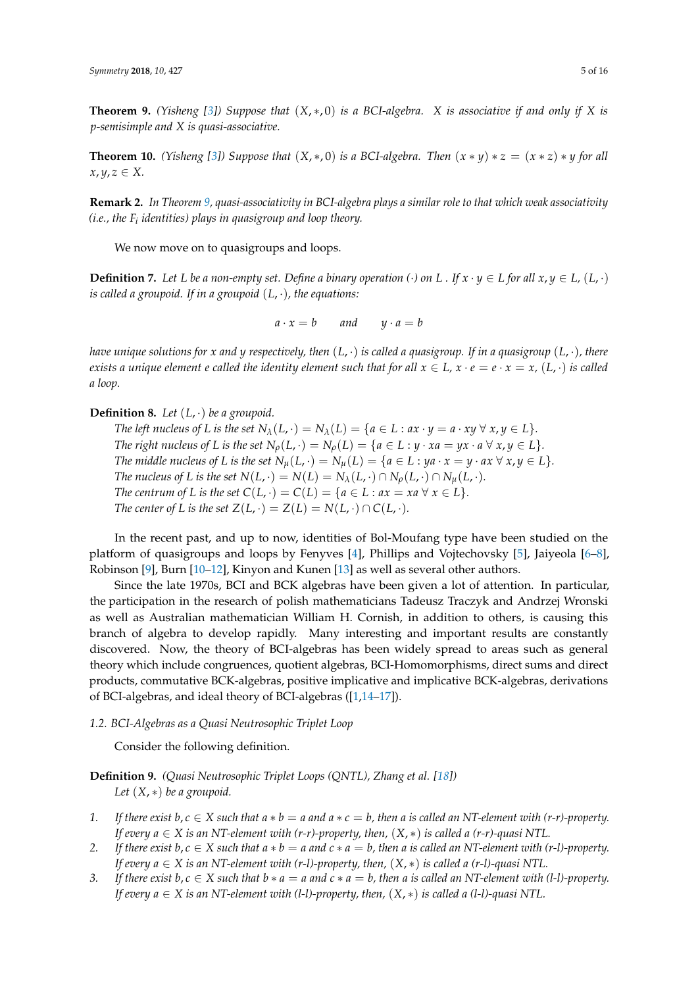<span id="page-4-0"></span>**Theorem 9.** *(Yisheng [\[3\]](#page-14-2)) Suppose that*  $(X, *0)$  *is a BCI-algebra. X is associative if and only if X is p-semisimple and X is quasi-associative.*

<span id="page-4-2"></span>**Theorem 10.** *(Yisheng [\[3\]](#page-14-2)) Suppose that*  $(X, * , 0)$  *is a BCI-algebra. Then*  $(x * y) * z = (x * z) * y$  *for all*  $x, y, z \in X$ .

**Remark 2.** *In Theorem [9,](#page-4-0) quasi-associativity in BCI-algebra plays a similar role to that which weak associativity (i.e., the F<sup>i</sup> identities) plays in quasigroup and loop theory.*

We now move on to quasigroups and loops.

**Definition 7.** Let L be a non-empty set. Define a binary operation  $(\cdot)$  on L . If  $x \cdot y \in L$  for all  $x, y \in L$ ,  $(L, \cdot)$ *is called a groupoid. If in a groupoid* (*L*, ·)*, the equations:*

$$
a \cdot x = b \qquad \text{and} \qquad y \cdot a = b
$$

*have unique solutions for x and y respectively, then* (*L*, ·) *is called a quasigroup. If in a quasigroup* (*L*, ·)*, there exists a unique element e called the identity element such that for all*  $x \in L$ ,  $x \cdot e = e \cdot x = x$ ,  $(L, \cdot)$  *is called a loop.*

**Definition 8.** *Let* (*L*, ·) *be a groupoid.*

*The left nucleus of L is the set*  $N_\lambda(L, \cdot) = N_\lambda(L) = \{a \in L : ax \cdot y = a \cdot xy \forall x, y \in L\}.$ *The right nucleus of L is the set*  $N_\rho(L, \cdot) = N_\rho(L) = \{a \in L : y \cdot xa = yx \cdot a \,\forall \, x, y \in L\}.$ *The middle nucleus of L is the set*  $N_\mu(L, \cdot) = N_\mu(L) = \{a \in L : ya \cdot x = y \cdot ax \,\forall \, x, y \in L\}.$ *The nucleus of L is the set*  $N(L, \cdot) = N(L) = N_{\lambda}(L, \cdot) \cap N_{\rho}(L, \cdot) \cap N_{\mu}(L, \cdot).$ *The centrum of L is the set*  $C(L, \cdot) = C(L) = \{a \in L : ax = xa \,\forall x \in L\}.$ *The center of L is the set*  $Z(L, \cdot) = Z(L) = N(L, \cdot) \cap C(L, \cdot)$ *.* 

In the recent past, and up to now, identities of Bol-Moufang type have been studied on the platform of quasigroups and loops by Fenyves [\[4\]](#page-14-3), Phillips and Vojtechovsky [\[5\]](#page-14-4), Jaiyeola [\[6](#page-14-5)[–8\]](#page-14-6), Robinson [\[9\]](#page-14-7), Burn [\[10–](#page-14-8)[12\]](#page-14-9), Kinyon and Kunen [\[13\]](#page-14-10) as well as several other authors.

Since the late 1970s, BCI and BCK algebras have been given a lot of attention. In particular, the participation in the research of polish mathematicians Tadeusz Traczyk and Andrzej Wronski as well as Australian mathematician William H. Cornish, in addition to others, is causing this branch of algebra to develop rapidly. Many interesting and important results are constantly discovered. Now, the theory of BCI-algebras has been widely spread to areas such as general theory which include congruences, quotient algebras, BCI-Homomorphisms, direct sums and direct products, commutative BCK-algebras, positive implicative and implicative BCK-algebras, derivations of BCI-algebras, and ideal theory of BCI-algebras ([\[1,](#page-14-0)[14–](#page-14-11)[17\]](#page-14-12)).

*1.2. BCI-Algebras as a Quasi Neutrosophic Triplet Loop*

Consider the following definition.

<span id="page-4-1"></span>**Definition 9.** *(Quasi Neutrosophic Triplet Loops (QNTL), Zhang et al. [\[18\]](#page-14-13)) Let* (*X*, ∗) *be a groupoid.*

- *1.* If there exist  $b, c \in X$  such that  $a * b = a$  and  $a * c = b$ , then a is called an NT-element with  $(r-r)$ -property. *If every*  $a \in X$  *is an NT-element with (r-r)-property, then,*  $(X, *)$  *is called a (r-r)-quasi NTL.*
- *2.* If there exist  $b, c \in X$  such that  $a * b = a$  and  $c * a = b$ , then a is called an NT-element with (r-l)-property. *If every a* ∈ *X is an NT-element with (r-l)-property, then,* (*X*, ∗) *is called a (r-l)-quasi NTL.*
- *3.* If there exist  $b, c \in X$  such that  $b * a = a$  and  $c * a = b$ , then a is called an NT-element with (1-1)-property. *If every a* ∈ *X is an NT-element with (l-l)-property, then,* (*X*, ∗) *is called a (l-l)-quasi NTL.*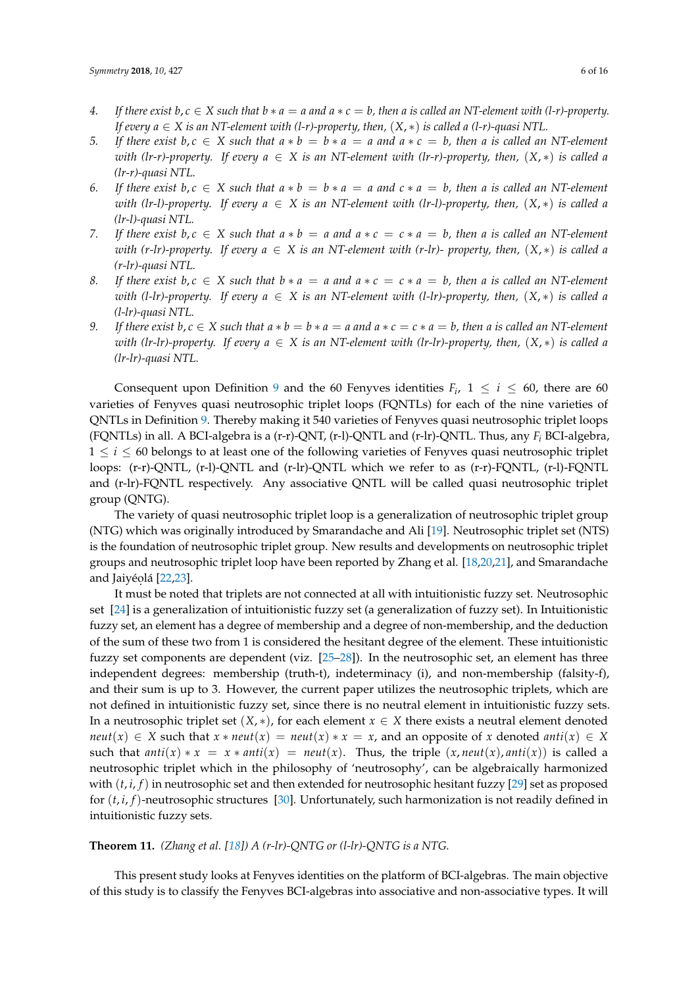- *4.* If there exist  $b, c \in X$  such that  $b * a = a$  and  $a * c = b$ , then a is called an NT-element with  $(l-r)$ -property. *If every*  $a \in X$  *is an NT-element with (l-r)-property, then,*  $(X, *)$  *is called a (l-r)-quasi NTL.*
- *5.* If there exist  $b, c \in X$  such that  $a * b = b * a = a$  and  $a * c = b$ , then a is called an NT-element *with (lr-r)-property.* If every  $a \in X$  is an NT-element with (lr-r)-property, then,  $(X, *)$  is called a *(lr-r)-quasi NTL.*
- *6.* If there exist  $b, c \in X$  such that  $a * b = b * a = a$  and  $c * a = b$ , then a is called an NT-element *with (lr-l)-property. If every*  $a \in X$  *is an NT-element with (lr-l)-property, then,*  $(X, *)$  *is called a (lr-l)-quasi NTL.*
- *7.* If there exist  $b, c \in X$  such that  $a * b = a$  and  $a * c = c * a = b$ , then a is called an NT-element *with (r-lr)-property. If every*  $a \in X$  *is an NT-element with (r-lr)- property, then,*  $(X, *)$  *is called a (r-lr)-quasi NTL.*
- *8.* If there exist  $b, c \in X$  such that  $b * a = a$  and  $a * c = c * a = b$ , then a is called an NT-element *with (l-lr)-property.* If every  $a \in X$  *is an NT-element with (l-lr)-property, then,*  $(X, *)$  *is called a (l-lr)-quasi NTL.*
- 9. If there exist  $b, c \in X$  such that  $a * b = b * a = a$  and  $a * c = c * a = b$ , then a is called an NT-element *with (lr-lr)-property. If every*  $a \in X$  *is an NT-element with (lr-lr)-property, then,*  $(X, *)$  *is called a (lr-lr)-quasi NTL.*

Consequent upon Definition [9](#page-4-1) and the 60 Fenyves identities  $F_i$ ,  $1 \le i \le 60$ , there are 60 varieties of Fenyves quasi neutrosophic triplet loops (FQNTLs) for each of the nine varieties of QNTLs in Definition [9.](#page-4-1) Thereby making it 540 varieties of Fenyves quasi neutrosophic triplet loops (FQNTLs) in all. A BCI-algebra is a (r-r)-QNT, (r-l)-QNTL and (r-lr)-QNTL. Thus, any *F<sup>i</sup>* BCI-algebra,  $1 \leq i \leq 60$  belongs to at least one of the following varieties of Fenyves quasi neutrosophic triplet loops: (r-r)-QNTL, (r-l)-QNTL and (r-lr)-QNTL which we refer to as (r-r)-FQNTL, (r-l)-FQNTL and (r-lr)-FQNTL respectively. Any associative QNTL will be called quasi neutrosophic triplet group (QNTG).

The variety of quasi neutrosophic triplet loop is a generalization of neutrosophic triplet group (NTG) which was originally introduced by Smarandache and Ali [\[19\]](#page-14-14). Neutrosophic triplet set (NTS) is the foundation of neutrosophic triplet group. New results and developments on neutrosophic triplet groups and neutrosophic triplet loop have been reported by Zhang et al. [\[18](#page-14-13)[,20](#page-14-15)[,21\]](#page-14-16), and Smarandache and Jaiyéolá [\[22](#page-14-17)[,23\]](#page-14-18).

It must be noted that triplets are not connected at all with intuitionistic fuzzy set. Neutrosophic set [\[24\]](#page-14-19) is a generalization of intuitionistic fuzzy set (a generalization of fuzzy set). In Intuitionistic fuzzy set, an element has a degree of membership and a degree of non-membership, and the deduction of the sum of these two from 1 is considered the hesitant degree of the element. These intuitionistic fuzzy set components are dependent (viz. [\[25](#page-14-20)[–28\]](#page-14-21)). In the neutrosophic set, an element has three independent degrees: membership (truth-t), indeterminacy (i), and non-membership (falsity-f), and their sum is up to 3. However, the current paper utilizes the neutrosophic triplets, which are not defined in intuitionistic fuzzy set, since there is no neutral element in intuitionistic fuzzy sets. In a neutrosophic triplet set  $(X, *)$ , for each element  $x \in X$  there exists a neutral element denoted  $neut(x) \in X$  such that  $x * neut(x) = neut(x) * x = x$ , and an opposite of *x* denoted *anti*(*x*)  $\in X$ such that  $anti(x) * x = x * anti(x) = neut(x)$ . Thus, the triple  $(x, neut(x), anti(x))$  is called a neutrosophic triplet which in the philosophy of 'neutrosophy', can be algebraically harmonized with (*t*, *i*, *f*) in neutrosophic set and then extended for neutrosophic hesitant fuzzy [\[29\]](#page-14-22) set as proposed for (*t*, *i*, *f*)-neutrosophic structures [\[30\]](#page-14-23). Unfortunately, such harmonization is not readily defined in intuitionistic fuzzy sets.

<span id="page-5-0"></span>**Theorem 11.** *(Zhang et al. [\[18\]](#page-14-13)) A (r-lr)-QNTG or (l-lr)-QNTG is a NTG.*

This present study looks at Fenyves identities on the platform of BCI-algebras. The main objective of this study is to classify the Fenyves BCI-algebras into associative and non-associative types. It will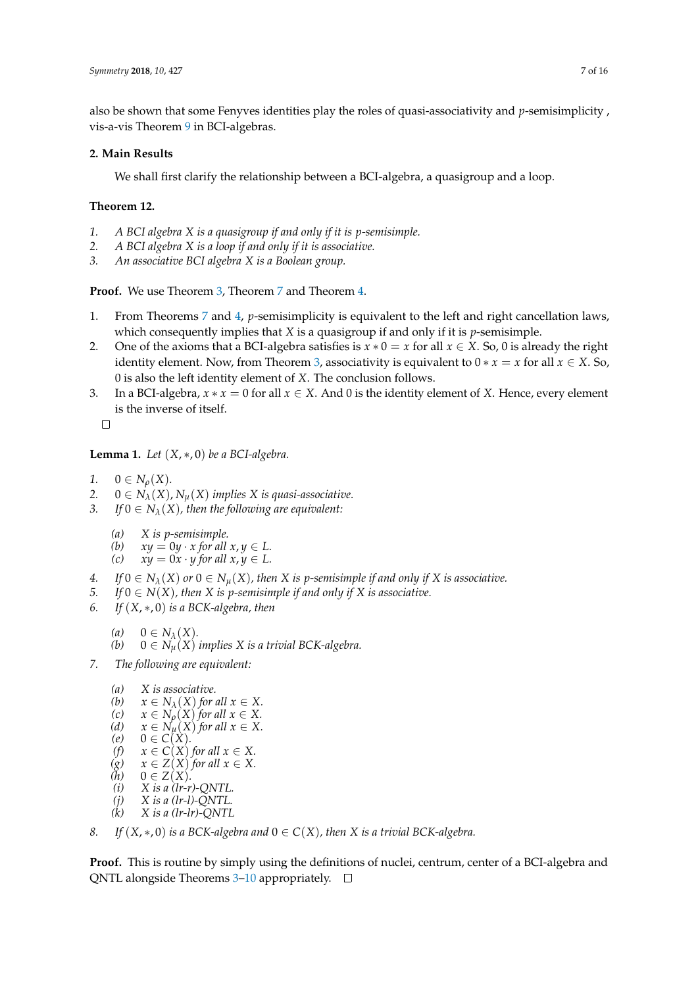also be shown that some Fenyves identities play the roles of quasi-associativity and *p*-semisimplicity , vis-a-vis Theorem [9](#page-4-0) in BCI-algebras.

# **2. Main Results**

We shall first clarify the relationship between a BCI-algebra, a quasigroup and a loop.

# <span id="page-6-0"></span>**Theorem 12.**

- *1. A BCI algebra X is a quasigroup if and only if it is p-semisimple.*
- *2. A BCI algebra X is a loop if and only if it is associative.*
- *3. An associative BCI algebra X is a Boolean group.*

**Proof.** We use Theorem [3,](#page-3-0) Theorem [7](#page-3-1) and Theorem [4.](#page-3-2)

- 1. From Theorems [7](#page-3-1) and [4,](#page-3-2) *p*-semisimplicity is equivalent to the left and right cancellation laws, which consequently implies that *X* is a quasigroup if and only if it is *p*-semisimple.
- 2. One of the axioms that a BCI-algebra satisfies is  $x * 0 = x$  for all  $x \in X$ . So, 0 is already the right identity element. Now, from Theorem [3,](#page-3-0) associativity is equivalent to  $0 * x = x$  for all  $x \in X$ . So, 0 is also the left identity element of *X*. The conclusion follows.
- 3. In a BCI-algebra,  $x * x = 0$  for all  $x \in X$ . And 0 is the identity element of *X*. Hence, every element is the inverse of itself.

 $\Box$ 

**Lemma 1.** *Let* (*X*, ∗, 0) *be a BCI-algebra.*

- *1.*  $0 \in N_{\rho}(X)$ *.*
- 2.  $0 \in N_{\lambda}(X)$ ,  $N_{\mu}(X)$  *implies X is quasi-associative.*<br>3. *If*  $0 \in N_{\lambda}(X)$ , *then the following are equivalent:*
- *If*  $0 \in N_\lambda(X)$ , then the following are equivalent:
	- *(a) X is p-semisimple.*
	- (b)  $xy = 0y \cdot x$  *for all*  $x, y \in L$ .<br>(c)  $xy = 0x \cdot y$  *for all*  $x, y \in L$ .
	- $xy = 0x \cdot y$  for all  $x, y \in L$ .
- *4. If*  $0 \in N_\lambda(X)$  or  $0 \in N_\mu(X)$ , then X is p-semisimple if and only if X is associative.
- *5. If*  $0 \in N(X)$ , then X is p-semisimple if and only if X is associative.
- *6. If* (*X*, ∗, 0) *is a BCK-algebra, then*
	- (a)  $0 \in N_{\lambda}(X)$ .<br>(b)  $0 \in N_{\lambda}(X)$ .
	- $0 \in N^{\sim}_{\mu}(X)$  *implies* X is a trivial BCK-algebra.
- *7. The following are equivalent:*
	- (*a*) *X* is associative.<br>(*b*)  $x \in N_{\lambda}(X)$  for *(b)*  $x \in N_\lambda(X)$  *for all*  $x \in X$ .<br>*(c)*  $x \in N_\lambda(X)$  *for all*  $x \in X$ *(c)*  $x \in N_\rho(X)$  *for all*  $x \in X$ .<br>*(d)*  $x \in N_\nu(X)$  *for all*  $x \in X$ . (*d*)  $x \in N_\mu(X)$  *for all*  $x \in X$ .<br>(*e*)  $0 \in C(X)$ .  $0 \in C(X)$ . *(f)*  $x \in C(X)$  *for all*  $x \in X$ .  $(g)$   $x \in Z(X)$  *for all*  $x \in X$ .<br>(h)  $0 \in Z(X)$ .  $\begin{array}{ll} (h) & 0 \in Z(X) . \ (i) & X \text{ is a } (lr-r) \end{array}$ *(i) X is a (lr-r)-QNTL.*  $\begin{array}{ll} (j) & X \text{ is a (lr-l)-QNTL.} \\ (k) & X \text{ is a (lr-lr)-ONTL.} \end{array}$ *(k) X is a (lr-lr)-QNTL*
- *8. If*  $(X, * , 0)$  *is a BCK-algebra and*  $0 \in C(X)$ *, then X is a trivial BCK-algebra.*

**Proof.** This is routine by simply using the definitions of nuclei, centrum, center of a BCI-algebra and QNTL alongside Theorems  $3-10$  $3-10$  appropriately.  $\Box$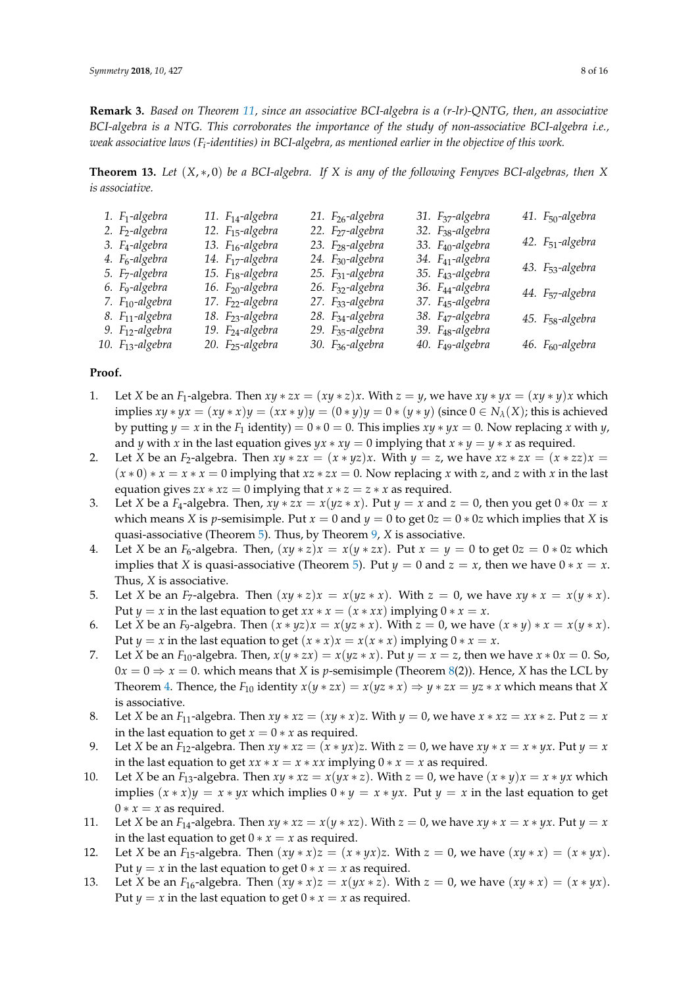**Remark 3.** *Based on Theorem [11,](#page-5-0) since an associative BCI-algebra is a (r-lr)-QNTG, then, an associative BCI-algebra is a NTG. This corroborates the importance of the study of non-associative BCI-algebra i.e., weak associative laws (F<sup>i</sup> -identities) in BCI-algebra, as mentioned earlier in the objective of this work.*

<span id="page-7-0"></span>**Theorem 13.** *Let* (*X*, ∗, 0) *be a BCI-algebra. If X is any of the following Fenyves BCI-algebras, then X is associative.*

| 1. $F_1$ -algebra            | 11. $F_{14}$ -algebra        | 21. $F_{26}$ -algebra        | 31. F <sub>37</sub> -algebra | 41. F <sub>50</sub> -algebra |
|------------------------------|------------------------------|------------------------------|------------------------------|------------------------------|
| 2. F <sub>2</sub> -algebra   | 12. F <sub>15</sub> -algebra | 22. F <sub>27</sub> -algebra | 32. F <sub>38</sub> -algebra |                              |
| 3. F <sub>4</sub> -algebra   | 13. F <sub>16</sub> -algebra | 23. F <sub>28</sub> -algebra | 33. F <sub>40</sub> -algebra | 42. F <sub>51</sub> -algebra |
| 4. F <sub>6</sub> -algebra   | 14. F <sub>17</sub> -algebra | 24. F <sub>30</sub> -algebra | 34. F <sub>41</sub> -algebra |                              |
| 5. F <sub>7</sub> -algebra   | 15. F <sub>18</sub> -algebra | 25. F <sub>31</sub> -algebra | 35. F <sub>43</sub> -algebra | 43. F <sub>53</sub> -algebra |
| 6. F <sub>9</sub> -algebra   | 16. F <sub>20</sub> -algebra | 26. F <sub>32</sub> -algebra | 36. F <sub>44</sub> -algebra |                              |
| 7. F <sub>10</sub> -algebra  | 17. F <sub>22</sub> -algebra | 27. F <sub>33</sub> -algebra | 37. F <sub>45</sub> -algebra | 44. F <sub>57</sub> -algebra |
| 8. F <sub>11</sub> -algebra  | 18. F <sub>23</sub> -algebra | 28. F <sub>34</sub> -algebra | 38. F <sub>47</sub> -algebra | 45. F <sub>58</sub> -algebra |
| 9. F <sub>12</sub> -algebra  | 19. F <sub>24</sub> -algebra | 29. F <sub>35</sub> -algebra | 39. F <sub>48</sub> -algebra |                              |
| 10. F <sub>13</sub> -algebra | 20. F <sub>25</sub> -algebra | 30. F <sub>36</sub> -algebra | 40. F <sub>49</sub> -algebra | 46. $F_{60}$ -algebra        |
|                              |                              |                              |                              |                              |

# **Proof.**

- 1. Let *X* be an *F*<sub>1</sub>-algebra. Then  $xy * zx = (xy * z)x$ . With  $z = y$ , we have  $xy * yx = (xy * y)x$  which implies  $xy * yx = (xy * x)y = (xx * y)y = (0 * y)y = 0 * (y * y)$  (since  $0 \in N_\lambda(X)$ ; this is achieved by putting  $\gamma = x$  in the  $F_1$  identity) =  $0 * 0 = 0$ . This implies  $xy * \gamma x = 0$ . Now replacing x with  $\gamma$ , and *y* with *x* in the last equation gives  $yx * xy = 0$  implying that  $x * y = y * x$  as required.
- 2. Let *X* be an *F*<sub>2</sub>-algebra. Then  $xy * zx = (x * yz)x$ . With  $y = z$ , we have  $xz * zx = (x * zz)x = z$  $(x * 0) * x = x * x = 0$  implying that  $xz * zx = 0$ . Now replacing *x* with *z*, and *z* with *x* in the last equation gives  $zx * xz = 0$  implying that  $x * z = z * x$  as required.
- 3. Let *X* be a *F*<sub>4</sub>-algebra. Then,  $xy * zx = x(yz * x)$ . Put  $y = x$  and  $z = 0$ , then you get  $0 * 0x = x$ which means *X* is *p*-semisimple. Put  $x = 0$  and  $y = 0$  to get  $0z = 0 * 0z$  which implies that *X* is quasi-associative (Theorem [5\)](#page-3-3). Thus, by Theorem [9,](#page-4-0) *X* is associative.
- 4. Let *X* be an  $F_6$ -algebra. Then,  $(xy * z)x = x(y * zx)$ . Put  $x = y = 0$  to get  $0z = 0 * 0z$  which implies that *X* is quasi-associative (Theorem [5\)](#page-3-3). Put  $y = 0$  and  $z = x$ , then we have  $0 * x = x$ . Thus, *X* is associative.
- 5. Let *X* be an *F*<sub>7</sub>-algebra. Then  $(xy * z)x = x(yz * x)$ . With  $z = 0$ , we have  $xy * x = x(y * x)$ . Put  $y = x$  in the last equation to get  $xx * x = (x * xx)$  implying  $0 * x = x$ .
- 6. Let *X* be an *F*<sub>9</sub>-algebra. Then  $(x * yz)x = x(yz * x)$ . With  $z = 0$ , we have  $(x * y) * x = x(y * x)$ . Put  $y = x$  in the last equation to get  $(x * x)x = x(x * x)$  implying  $0 * x = x$ .
- 7. Let *X* be an  $F_{10}$ -algebra. Then,  $x(y * zx) = x(yz * x)$ . Put  $y = x = z$ , then we have  $x * 0x = 0$ . So,  $0x = 0 \Rightarrow x = 0$ . which means that *X* is *p*-semisimple (Theorem [8\(](#page-3-4)2)). Hence, *X* has the LCL by Theorem [4.](#page-3-2) Thence, the  $F_{10}$  identity  $x(y * zx) = x(yz * x) \Rightarrow y * zx = yz * x$  which means that *X* is associative.
- 8. Let *X* be an *F*<sub>11</sub>-algebra. Then  $xy * xz = (xy * x)z$ . With  $y = 0$ , we have  $x * xz = xx * z$ . Put  $z = x$ in the last equation to get  $x = 0 \times x$  as required.
- 9. Let *X* be an *F*<sub>12</sub>-algebra. Then  $xy * xz = (x * yx)z$ . With  $z = 0$ , we have  $xy * x = x * yx$ . Put  $y = x$ in the last equation to get  $xx * x = x * xx$  implying  $0 * x = x$  as required.
- 10. Let *X* be an *F*<sub>13</sub>-algebra. Then  $xy * xz = x(yx * z)$ . With  $z = 0$ , we have  $(x * y)x = x * yx$  which implies  $(x * x)y = x * yx$  which implies  $0 * y = x * yx$ . Put  $y = x$  in the last equation to get  $0 * x = x$  as required.
- 11. Let *X* be an *F*<sub>14</sub>-algebra. Then  $xy * xz = x(y * xz)$ . With  $z = 0$ , we have  $xy * x = x * yx$ . Put  $y = x$ in the last equation to get  $0 * x = x$  as required.
- 12. Let *X* be an *F*<sub>15</sub>-algebra. Then  $(xy * x)z = (x * yx)z$ . With  $z = 0$ , we have  $(xy * x) = (x * yx)$ . Put  $y = x$  in the last equation to get  $0 * x = x$  as required.
- 13. Let *X* be an *F*<sub>16</sub>-algebra. Then  $(xy * x)z = x(yx * z)$ . With  $z = 0$ , we have  $(xy * x) = (x * yx)$ . Put  $y = x$  in the last equation to get  $0 * x = x$  as required.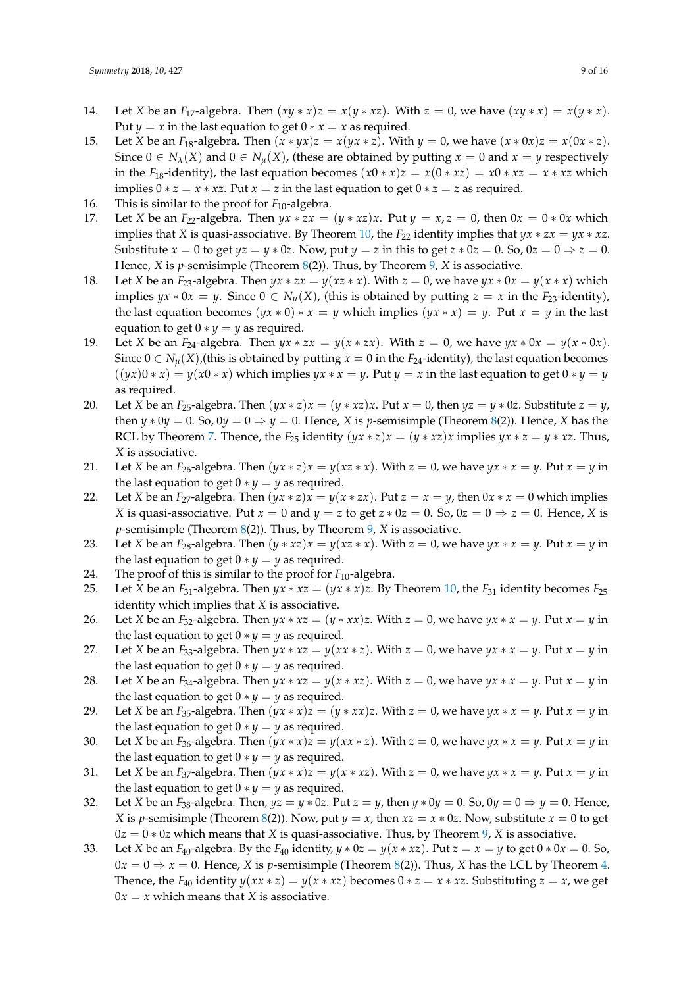- 14. Let *X* be an *F*<sub>17</sub>-algebra. Then  $(xy * x)z = x(y * xz)$ . With  $z = 0$ , we have  $(xy * x) = x(y * x)$ . Put *y* = *x* in the last equation to get  $0 * x = x$  as required.
- 15. Let *X* be an *F*<sub>18</sub>-algebra. Then  $(x * yx)z = x(yx * z)$ . With  $y = 0$ , we have  $(x * 0x)z = x(0x * z)$ . Since  $0 \in N_\lambda(X)$  and  $0 \in N_\mu(X)$ , (these are obtained by putting  $x = 0$  and  $x = y$  respectively in the *F*<sub>18</sub>-identity), the last equation becomes  $(x0 * x)z = x(0 * xz) = x0 * xz = x * xz$  which implies  $0 * z = x * xz$ . Put  $x = z$  in the last equation to get  $0 * z = z$  as required.
- 16. This is similar to the proof for  $F_{10}$ -algebra.
- 17. Let *X* be an  $F_{22}$ -algebra. Then  $yx * zx = (y * xz)x$ . Put  $y = x, z = 0$ , then  $0x = 0 * 0x$  which implies that *X* is quasi-associative. By Theorem [10,](#page-4-2) the  $F_{22}$  identity implies that  $yx * zx = yx * xz$ . Substitute  $x = 0$  to get  $yz = y * 0z$ . Now, put  $y = z$  in this to get  $z * 0z = 0$ . So,  $0z = 0 \Rightarrow z = 0$ . Hence, *X* is *p*-semisimple (Theorem [8\(](#page-3-4)2)). Thus, by Theorem [9,](#page-4-0) *X* is associative.
- 18. Let *X* be an  $F_{23}$ -algebra. Then  $yx * zx = y(xz * x)$ . With  $z = 0$ , we have  $yx * 0x = y(x * x)$  which implies *yx* ∗ 0*x* = *y*. Since 0 ∈  $N_\mu$ (*X*), (this is obtained by putting *z* = *x* in the *F*<sub>23</sub>-identity), the last equation becomes  $(yx * 0) * x = y$  which implies  $(yx * x) = y$ . Put  $x = y$  in the last equation to get  $0 * y = y$  as required.
- 19. Let *X* be an  $F_{24}$ -algebra. Then  $yx * zx = y(x * zx)$ . With  $z = 0$ , we have  $yx * 0x = y(x * 0x)$ . Since  $0 \in N_\mu(X)$ , (this is obtained by putting  $x = 0$  in the  $F_{24}$ -identity), the last equation becomes  $(yx)(0*x) = y(x0*x)$  which implies  $yx*x = y$ . Put  $y = x$  in the last equation to get  $0*y = y$ as required.
- 20. Let *X* be an *F*<sub>25</sub>-algebra. Then  $(yx * z)x = (y * xz)x$ . Put  $x = 0$ , then  $yz = y * 0z$ . Substitute  $z = y$ , then  $y * 0y = 0$ . So,  $0y = 0 \Rightarrow y = 0$ . Hence, *X* is *p*-semisimple (Theorem [8\(](#page-3-4)2)). Hence, *X* has the RCL by Theorem [7.](#page-3-1) Thence, the  $F_{25}$  identity  $(yx * z)x = (y * xz)x$  implies  $yx * z = y * xz$ . Thus, *X* is associative.
- 21. Let *X* be an *F*<sub>26</sub>-algebra. Then  $(yx * z)x = y(xz * x)$ . With  $z = 0$ , we have  $yx * x = y$ . Put  $x = y$  in the last equation to get  $0 * y = y$  as required.
- 22. Let *X* be an *F*<sub>27</sub>-algebra. Then  $(yx * z)x = y(x * zx)$ . Put  $z = x = y$ , then  $0x * x = 0$  which implies *X* is quasi-associative. Put  $x = 0$  and  $y = z$  to get  $z * 0z = 0$ . So,  $0z = 0 \Rightarrow z = 0$ . Hence, *X* is *p*-semisimple (Theorem [8\(](#page-3-4)2)). Thus, by Theorem [9,](#page-4-0) *X* is associative.
- 23. Let *X* be an *F*<sub>28</sub>-algebra. Then  $(y * xz)x = y(xz * x)$ . With  $z = 0$ , we have  $yx * x = y$ . Put  $x = y$  in the last equation to get  $0 * y = y$  as required.
- 24. The proof of this is similar to the proof for  $F_{10}$ -algebra.
- 25. Let *X* be an  $F_{31}$ -algebra. Then  $yx * xz = (yx * x)z$ . By Theorem [10,](#page-4-2) the  $F_{31}$  identity becomes  $F_{25}$ identity which implies that *X* is associative.
- 26. Let *X* be an *F*<sub>32</sub>-algebra. Then  $yx * xz = (y * xx)z$ . With  $z = 0$ , we have  $yx * x = y$ . Put  $x = y$  in the last equation to get  $0 * y = y$  as required.
- 27. Let *X* be an *F*<sub>33</sub>-algebra. Then  $yx * xz = y(xx * z)$ . With  $z = 0$ , we have  $yx * x = y$ . Put  $x = y$  in the last equation to get  $0 * y = y$  as required.
- 28. Let *X* be an *F*<sub>34</sub>-algebra. Then  $yx * xz = y(x * xz)$ . With  $z = 0$ , we have  $yx * x = y$ . Put  $x = y$  in the last equation to get  $0 * y = y$  as required.
- 29. Let *X* be an *F*<sub>35</sub>-algebra. Then  $(yx * x)z = (y * xx)z$ . With  $z = 0$ , we have  $yx * x = y$ . Put  $x = y$  in the last equation to get  $0 * y = y$  as required.
- 30. Let *X* be an  $F_{36}$ -algebra. Then  $(yx * x)z = y(xx * z)$ . With  $z = 0$ , we have  $yx * x = y$ . Put  $x = y$  in the last equation to get  $0 * y = y$  as required.
- 31. Let *X* be an *F*<sub>37</sub>-algebra. Then  $(yx * x)z = y(x * xz)$ . With  $z = 0$ , we have  $yx * x = y$ . Put  $x = y$  in the last equation to get  $0 * y = y$  as required.
- 32. Let *X* be an *F*<sub>38</sub>-algebra. Then,  $yz = y * 0z$ . Put  $z = y$ , then  $y * 0y = 0$ . So,  $0y = 0 \Rightarrow y = 0$ . Hence, *X* is *p*-semisimple (Theorem [8\(](#page-3-4)2)). Now, put  $y = x$ , then  $xz = x * 0z$ . Now, substitute  $x = 0$  to get  $0z = 0 * 0z$  which means that *X* is quasi-associative. Thus, by Theorem [9,](#page-4-0) *X* is associative.
- 33. Let *X* be an *F*<sub>40</sub>-algebra. By the *F*<sub>40</sub> identity,  $y * 0z = y(x * xz)$ . Put  $z = x = y$  to get  $0 * 0x = 0$ . So,  $0x = 0 \Rightarrow x = 0$ . Hence, *X* is *p*-semisimple (Theorem [8\(](#page-3-4)2)). Thus, *X* has the LCL by Theorem [4.](#page-3-2) Thence, the  $F_{40}$  identity  $y(x \times x \times z) = y(x \times x \times z)$  becomes  $0 \times z = x \times x \times z$ . Substituting  $z = x$ , we get  $0x = x$  which means that *X* is associative.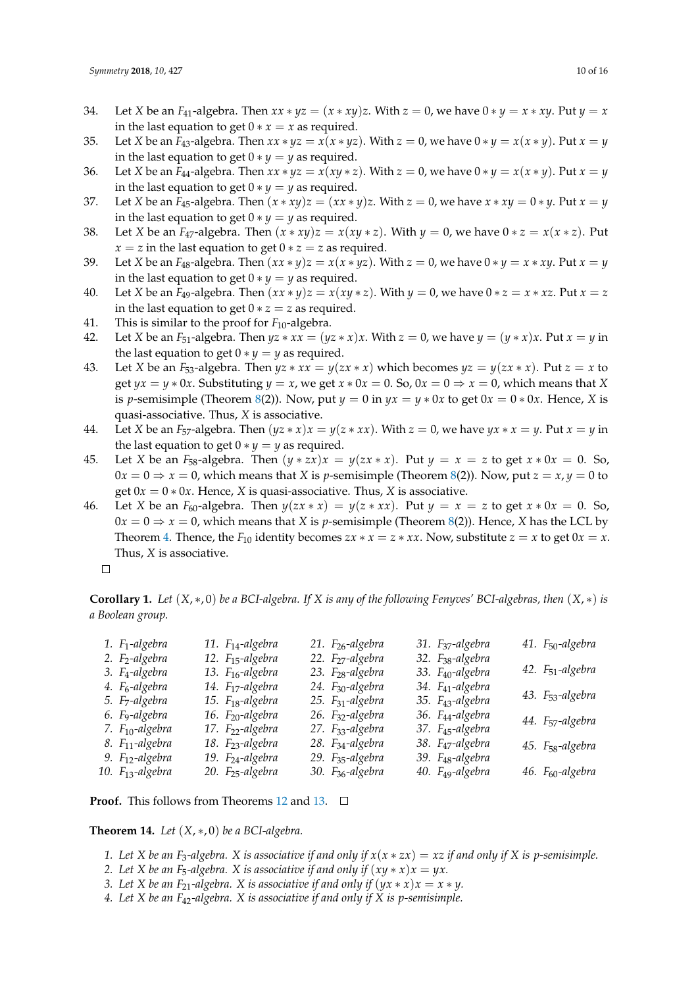- 34. Let *X* be an *F*<sub>41</sub>-algebra. Then  $xx * yz = (x * xy)z$ . With  $z = 0$ , we have  $0 * y = x * xy$ . Put  $y = x$ in the last equation to get  $0 * x = x$  as required.
- 35. Let *X* be an  $F_{43}$ -algebra. Then  $xx * yz = x(x * yz)$ . With  $z = 0$ , we have  $0 * y = x(x * y)$ . Put  $x = y$ in the last equation to get  $0 * y = y$  as required.
- 36. Let *X* be an *F*<sub>44</sub>-algebra. Then  $xx * yz = x(xy * z)$ . With  $z = 0$ , we have  $0 * y = x(x * y)$ . Put  $x = y$ in the last equation to get  $0 * y = y$  as required.
- 37. Let *X* be an  $F_{45}$ -algebra. Then  $(x * xy)z = (xx * y)z$ . With  $z = 0$ , we have  $x * xy = 0 * y$ . Put  $x = y$ in the last equation to get  $0 * y = y$  as required.
- 38. Let *X* be an *F*<sub>47</sub>-algebra. Then  $(x * xy)z = x(xy * z)$ . With  $y = 0$ , we have  $0 * z = x(x * z)$ . Put *x* = *z* in the last equation to get  $0 * z = z$  as required.
- 39. Let *X* be an *F*<sub>48</sub>-algebra. Then  $(xx * y)z = x(x * yz)$ . With  $z = 0$ , we have  $0 * y = x * xy$ . Put  $x = y$ in the last equation to get  $0 * y = y$  as required.
- 40. Let *X* be an  $F_{49}$ -algebra. Then  $(xx * y)z = x(xy * z)$ . With  $y = 0$ , we have  $0 * z = x * xz$ . Put  $x = z$ in the last equation to get  $0 * z = z$  as required.
- 41. This is similar to the proof for  $F_{10}$ -algebra.
- 42. Let *X* be an *F*<sub>51</sub>-algebra. Then  $yz * xx = (yz * x)x$ . With  $z = 0$ , we have  $y = (y * x)x$ . Put  $x = y$  in the last equation to get  $0 * y = y$  as required.
- 43. Let *X* be an *F*<sub>53</sub>-algebra. Then  $yz * xx = y(zx * x)$  which becomes  $yz = y(zx * x)$ . Put  $z = x$  to get  $yx = y * 0x$ . Substituting  $y = x$ , we get  $x * 0x = 0$ . So,  $0x = 0 \Rightarrow x = 0$ , which means that *X* is *p*-semisimple (Theorem [8\(](#page-3-4)2)). Now, put  $y = 0$  in  $yx = y * 0x$  to get  $0x = 0 * 0x$ . Hence, *X* is quasi-associative. Thus, *X* is associative.
- 44. Let *X* be an *F*<sub>57</sub>-algebra. Then  $(yz * x)x = y(z * xx)$ . With  $z = 0$ , we have  $yx * x = y$ . Put  $x = y$  in the last equation to get  $0 * y = y$  as required.
- 45. Let *X* be an *F*<sub>58</sub>-algebra. Then  $(y * zx)x = y(zx * x)$ . Put  $y = x = z$  to get  $x * 0x = 0$ . So,  $0x = 0 \Rightarrow x = 0$ , which means that *X* is *p*-semisimple (Theorem [8\(](#page-3-4)2)). Now, put  $z = x$ ,  $y = 0$  to get  $0x = 0 * 0x$ . Hence, *X* is quasi-associative. Thus, *X* is associative.
- 46. Let *X* be an  $F_{60}$ -algebra. Then  $y(zx * x) = y(z * xx)$ . Put  $y = x = z$  to get  $x * 0x = 0$ . So,  $0x = 0 \Rightarrow x = 0$ , which means that *X* is *p*-semisimple (Theorem [8\(](#page-3-4)2)). Hence, *X* has the LCL by Theorem [4.](#page-3-2) Thence, the  $F_{10}$  identity becomes  $zx * x = z * xx$ . Now, substitute  $z = x$  to get  $0x = x$ . Thus, *X* is associative.
	- $\Box$

**Corollary 1.** *Let*  $(X, * , 0)$  *be a BCI-algebra. If*  $X$  *is any of the following Fenyves' BCI-algebras, then*  $(X, *)$  *is a Boolean group.*

| 1. F <sub>1</sub> -algebra                                  | 11. $F_{14}$ -algebra                                        | 21. F <sub>26</sub> -algebra                                 | 31. F <sub>37</sub> -algebra                                 | 41. F <sub>50</sub> -algebra |
|-------------------------------------------------------------|--------------------------------------------------------------|--------------------------------------------------------------|--------------------------------------------------------------|------------------------------|
| 2. F <sub>2</sub> -algebra<br>3. F <sub>4</sub> -algebra    | 12. $F_{15}$ -algebra<br>13. F <sub>16</sub> -algebra        | 22. F <sub>27</sub> -algebra<br>23. F <sub>28</sub> -algebra | 32. F <sub>38</sub> -algebra<br>33. F <sub>40</sub> -algebra | 42. $F_{51}$ -algebra        |
| 4. F <sub>6</sub> -algebra<br>5. F <sub>7</sub> -algebra    | 14. F <sub>17</sub> -algebra<br>15. $F_{18}$ -algebra        | 24. F <sub>30</sub> -algebra<br>25. F <sub>31</sub> -algebra | 34. F <sub>41</sub> -algebra<br>35. F <sub>43</sub> -algebra | 43. F <sub>53</sub> -algebra |
| 6. F9-algebra                                               | 16. F <sub>20</sub> -algebra                                 | 26. F <sub>32</sub> -algebra                                 | 36. F <sub>44</sub> -algebra                                 | 44. F <sub>57</sub> -algebra |
| 7. F <sub>10</sub> -algebra<br>8. F <sub>11</sub> -algebra  | 17. F <sub>22</sub> -algebra<br>18. F <sub>23</sub> -algebra | 27. F <sub>33</sub> -algebra<br>28. F <sub>34</sub> -algebra | 37. F <sub>45</sub> -algebra<br>38. F <sub>47</sub> -algebra | 45. F <sub>58</sub> -algebra |
| 9. F <sub>12</sub> -algebra<br>10. F <sub>13</sub> -algebra | 19. F <sub>24</sub> -algebra<br>20. $F_{25}$ -algebra        | 29. F <sub>35</sub> -algebra<br>30. F <sub>36</sub> -algebra | 39. F <sub>48</sub> -algebra<br>40. F <sub>49</sub> -algebra | 46. F <sub>60</sub> -algebra |

**Proof.** This follows from Theorems [12](#page-6-0) and [13.](#page-7-0) □

<span id="page-9-0"></span>**Theorem 14.** *Let*  $(X, *, 0)$  *be a BCI-algebra.* 

- *1.* Let X be an F<sub>3</sub>-algebra. X is associative if and only if  $x(x * zx) = xz$  if and only if X is p-semisimple.
- *2. Let X be an F<sub>5</sub>-algebra. X is associative if and only if*  $(xy * x)x = yx$ .
- *3. Let X* be an  $F_{21}$ -algebra. *X* is associative if and only if  $(yx * x)x = x * y$ .
- *4. Let X be an F*42*-algebra. X is associative if and only if X is p-semisimple.*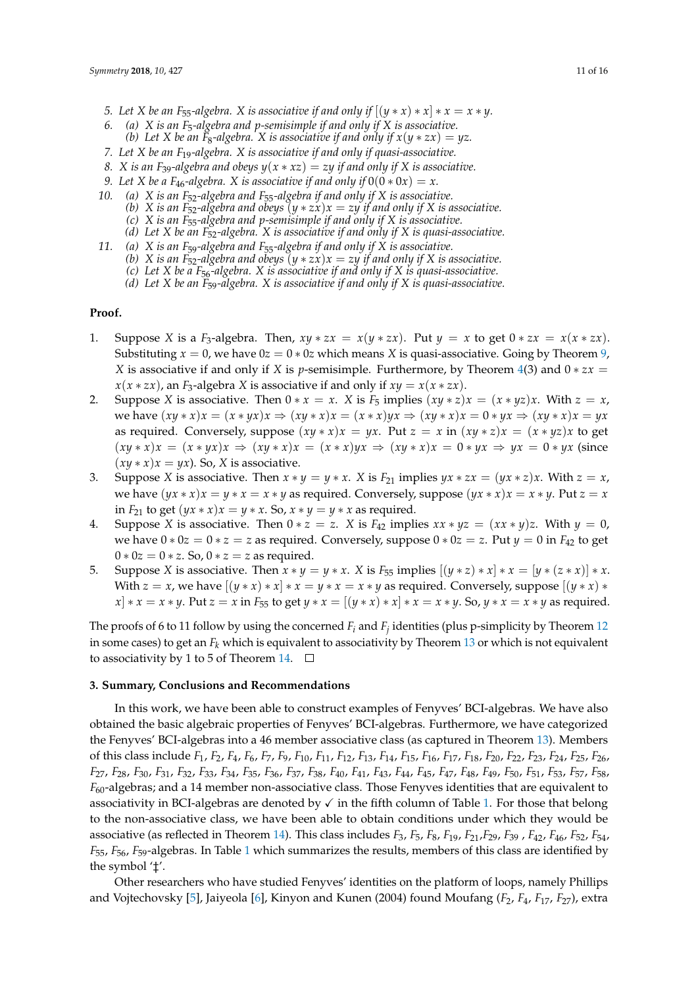- *5.* Let X be an F<sub>55</sub>-algebra. X is associative if and only if  $[(y * x) * x] * x = x * y$ .
- *6. (a) X is an F*5*-algebra and p-semisimple if and only if X is associative. (b)* Let X be an  $\tilde{F}_8$ -algebra. X is associative if and only if  $x(y * zx) = yz$ .
- *7. Let X be an F*19*-algebra. X is associative if and only if quasi-associative.*
- *8. X* is an F<sub>39</sub>-algebra and obeys  $y(x * xz) = zy$  if and only if X is associative.
- *9.* Let X be a F<sub>46</sub>-algebra. X is associative if and only if  $0(0 * 0x) = x$ .
- *10. (a) X is an F*52*-algebra and F*55*-algebra if and only if X is associative.*
	- *(b) X* is an  $\overline{F_{52}}$ -algebra and obeys  $(y * zx)x = zy$  if and only if X is associative.
	- *(c) X is an F*55*-algebra and p-semisimple if and only if X is associative.*
	- *(d) Let X be an F*52*-algebra. X is associative if and only if X is quasi-associative.*
- *11. (a) X is an F*59*-algebra and F*55*-algebra if and only if X is associative.*
	- *(b) X* is an F<sub>52</sub>-algebra and obeys  $(y * zx)x = zy$  if and only if *X* is associative.
	- *(c) Let X be a F*56*-algebra. X is associative if and only if X is quasi-associative.*
	- *(d) Let X be an F*59*-algebra. X is associative if and only if X is quasi-associative.*

# **Proof.**

- 1. Suppose *X* is a *F*<sub>3</sub>-algebra. Then,  $xy * zx = x(y * zx)$ . Put  $y = x$  to get  $0 * zx = x(x * zx)$ . Substituting  $x = 0$ , we have  $0z = 0 * 0z$  which means *X* is quasi-associative. Going by Theorem [9,](#page-4-0) *X* is associative if and only if *X* is *p*-semisimple. Furthermore, by Theorem [4\(](#page-3-2)3) and  $0 * zx =$  $x(x * zx)$ , an *F*<sub>3</sub>-algebra *X* is associative if and only if  $xy = x(x * zx)$ .
- 2. Suppose *X* is associative. Then  $0 * x = x$ . *X* is  $F_5$  implies  $(xy * z)x = (x * yz)x$ . With  $z = x$ , we have  $(xy * x)x = (x * yx)x \Rightarrow (xy * x)x = (x * x)yx \Rightarrow (xy * x)x = 0 * yx \Rightarrow (xy * x)x = yx$ as required. Conversely, suppose  $(xy * x)x = yx$ . Put  $z = x$  in  $(xy * z)x = (x * yz)x$  to get  $(xy * x)x = (x * yx)x \Rightarrow (xy * x)x = (x * x)yx \Rightarrow (xy * x)x = 0 * yx \Rightarrow yx = 0 * yx$  (since  $(xy * x)x = yx$ . So, *X* is associative.
- 3. Suppose *X* is associative. Then  $x * y = y * x$ . *X* is  $F_{21}$  implies  $yx * zx = (yx * z)x$ . With  $z = x$ , we have  $(yx * x)x = y * x = x * y$  as required. Conversely, suppose  $(yx * x)x = x * y$ . Put  $z = x$ in  $F_{21}$  to get  $(yx * x)x = y * x$ . So,  $x * y = y * x$  as required.
- 4. Suppose *X* is associative. Then  $0 * z = z$ . *X* is  $F_{42}$  implies  $xx * yz = (xx * y)z$ . With  $y = 0$ , we have  $0 * 0z = 0 * z = z$  as required. Conversely, suppose  $0 * 0z = z$ . Put  $y = 0$  in  $F_{42}$  to get  $0 * 0z = 0 * z$ . So,  $0 * z = z$  as required.
- 5. Suppose *X* is associative. Then  $x * y = y * x$ . *X* is  $F_{55}$  implies  $[(y * z) * x] * x = [y * (z * x)] * x$ . With  $z = x$ , we have  $[(y * x) * x] * x = y * x = x * y$  as required. Conversely, suppose  $[(y * x) * x] * x = x * y$  $x \mid x \in x \cdot y$ . Put  $z = x$  in  $F_{55}$  to get  $y * x = [(y * x) * x] * x = x * y$ . So,  $y * x = x * y$  as required.

The proofs of 6 to 11 follow by using the concerned  $F_i$  and  $F_j$  identities (plus p-simplicity by Theorem [12](#page-6-0) in some cases) to get an *F<sup>k</sup>* which is equivalent to associativity by Theorem [13](#page-7-0) or which is not equivalent to associativity by 1 to 5 of Theorem [14.](#page-9-0)  $\Box$ 

#### **3. Summary, Conclusions and Recommendations**

In this work, we have been able to construct examples of Fenyves' BCI-algebras. We have also obtained the basic algebraic properties of Fenyves' BCI-algebras. Furthermore, we have categorized the Fenyves' BCI-algebras into a 46 member associative class (as captured in Theorem [13\)](#page-7-0). Members of this class include  $F_1$ ,  $F_2$ ,  $F_4$ ,  $F_6$ ,  $F_7$ ,  $F_9$ ,  $F_{10}$ ,  $F_{11}$ ,  $F_{12}$ ,  $F_{13}$ ,  $F_{14}$ ,  $F_{15}$ ,  $F_{16}$ ,  $F_{17}$ ,  $F_{18}$ ,  $F_{20}$ ,  $F_{22}$ ,  $F_{23}$ ,  $F_{24}$ ,  $F_{25}$ ,  $F_{26}$ , F<sub>27</sub>, F<sub>28</sub>, F<sub>30</sub>, F<sub>31</sub>, F<sub>32</sub>, F<sub>33</sub>, F<sub>34</sub>, F<sub>35</sub>, F<sub>36</sub>, F<sub>37</sub>, F<sub>38</sub>, F<sub>40</sub>, F<sub>41</sub>, F<sub>43</sub>, F<sub>44</sub>, F<sub>45</sub>, F<sub>47</sub>, F<sub>48</sub>, F<sub>49</sub>, F<sub>50</sub>, F<sub>51</sub>, F<sub>53</sub>, F<sub>57</sub>, F<sub>58</sub>, *F*60-algebras; and a 14 member non-associative class. Those Fenyves identities that are equivalent to associativity in BCI-algebras are denoted by  $\checkmark$  in the fifth column of Table [1.](#page-13-0) For those that belong to the non-associative class, we have been able to obtain conditions under which they would be associative (as reflected in Theorem [14\)](#page-9-0). This class includes *F*3, *F*5, *F*8, *F*19, *F*21,*F*29, *F*<sup>39</sup> , *F*42, *F*46, *F*52, *F*54, *F*55, *F*56, *F*59-algebras. In Table [1](#page-13-0) which summarizes the results, members of this class are identified by the symbol '‡'.

Other researchers who have studied Fenyves' identities on the platform of loops, namely Phillips and Vojtechovsky [\[5\]](#page-14-4), Jaiyeola [\[6\]](#page-14-5), Kinyon and Kunen (2004) found Moufang (*F*2, *F*4, *F*17, *F*27), extra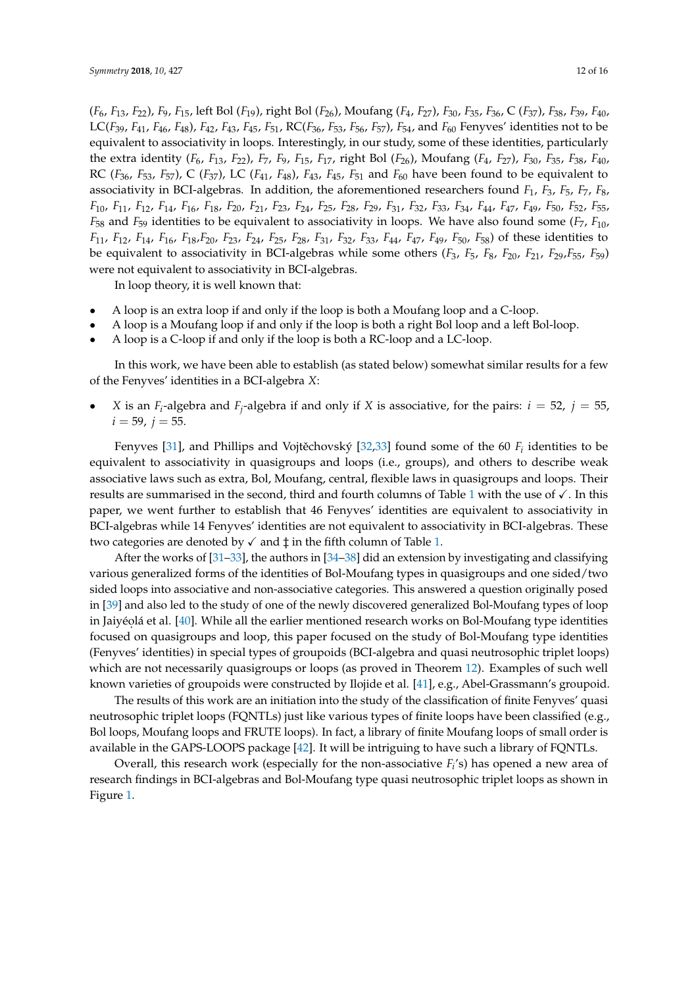$(F_6, F_{13}, F_{22})$ ,  $F_9, F_{15}$ , left Bol  $(F_{19})$ , right Bol  $(F_{26})$ , Moufang  $(F_4, F_{27})$ ,  $F_{30}$ ,  $F_{35}$ ,  $F_{36}$ , C  $(F_{37})$ ,  $F_{38}$ ,  $F_{39}$ ,  $F_{40}$ , LC(*F*39, *F*41, *F*46, *F*48), *F*42, *F*43, *F*45, *F*51, RC(*F*36, *F*53, *F*56, *F*57), *F*54, and *F*<sup>60</sup> Fenyves' identities not to be equivalent to associativity in loops. Interestingly, in our study, some of these identities, particularly the extra identity (*F*6, *F*13, *F*22), *F*7, *F*9, *F*15, *F*17, right Bol (*F*26), Moufang (*F*4, *F*27), *F*30, *F*35, *F*38, *F*40, RC ( $F_{36}$ ,  $F_{53}$ ,  $F_{57}$ ), C ( $F_{37}$ ), LC ( $F_{41}$ ,  $F_{48}$ ),  $F_{43}$ ,  $F_{45}$ ,  $F_{51}$  and  $F_{60}$  have been found to be equivalent to associativity in BCI-algebras. In addition, the aforementioned researchers found *F*1, *F*3, *F*5, *F*7, *F*8,  $F_{10}$ ,  $F_{11}$ ,  $F_{12}$ ,  $F_{14}$ ,  $F_{16}$ ,  $F_{18}$ ,  $F_{20}$ ,  $F_{21}$ ,  $F_{23}$ ,  $F_{24}$ ,  $F_{25}$ ,  $F_{28}$ ,  $F_{29}$ ,  $F_{31}$ ,  $F_{32}$ ,  $F_{33}$ ,  $F_{34}$ ,  $F_{44}$ ,  $F_{47}$ ,  $F_{49}$ ,  $F_{50}$ ,  $F_{52}$ ,  $F_{55}$ ,  $F_{56}$ ,  $F_{57$ *F*<sup>58</sup> and *F*<sup>59</sup> identities to be equivalent to associativity in loops. We have also found some (*F*7, *F*10,  $F_{11}$ ,  $F_{12}$ ,  $F_{14}$ ,  $F_{16}$ ,  $F_{18}F_{20}$ ,  $F_{23}$ ,  $F_{24}$ ,  $F_{25}$ ,  $F_{28}$ ,  $F_{31}$ ,  $F_{32}$ ,  $F_{33}$ ,  $F_{44}$ ,  $F_{47}$ ,  $F_{49}$ ,  $F_{50}$ ,  $F_{58}$ ) of these identities to be equivalent to associativity in BCI-algebras while some others  $(F_3, F_5, F_8, F_{20}, F_{21}, F_{29}, F_{55}, F_{59})$ were not equivalent to associativity in BCI-algebras.

In loop theory, it is well known that:

- A loop is an extra loop if and only if the loop is both a Moufang loop and a C-loop.
- A loop is a Moufang loop if and only if the loop is both a right Bol loop and a left Bol-loop.
- A loop is a C-loop if and only if the loop is both a RC-loop and a LC-loop.

In this work, we have been able to establish (as stated below) somewhat similar results for a few of the Fenyves' identities in a BCI-algebra *X*:

• *X* is an  $F_i$ -algebra and  $F_j$ -algebra if and only if *X* is associative, for the pairs:  $i = 52$ ,  $j = 55$ ,  $i = 59$ ,  $j = 55$ .

Fenyves [\[31\]](#page-14-24), and Phillips and Vojtěchovský [\[32,](#page-15-0)[33\]](#page-15-1) found some of the 60  $F_i$  identities to be equivalent to associativity in quasigroups and loops (i.e., groups), and others to describe weak associative laws such as extra, Bol, Moufang, central, flexible laws in quasigroups and loops. Their results are summarised in the second, third and fourth columns of Table [1](#page-13-0) with the use of  $\checkmark$ . In this paper, we went further to establish that 46 Fenyves' identities are equivalent to associativity in BCI-algebras while 14 Fenyves' identities are not equivalent to associativity in BCI-algebras. These two categories are denoted by  $\checkmark$  and  $\ddagger$  in the fifth column of Table [1.](#page-13-0)

After the works of [\[31](#page-14-24)[–33\]](#page-15-1), the authors in [\[34](#page-15-2)[–38\]](#page-15-3) did an extension by investigating and classifying various generalized forms of the identities of Bol-Moufang types in quasigroups and one sided/two sided loops into associative and non-associative categories. This answered a question originally posed in [\[39\]](#page-15-4) and also led to the study of one of the newly discovered generalized Bol-Moufang types of loop in Jaiyéolá et al. [\[40\]](#page-15-5). While all the earlier mentioned research works on Bol-Moufang type identities focused on quasigroups and loop, this paper focused on the study of Bol-Moufang type identities (Fenyves' identities) in special types of groupoids (BCI-algebra and quasi neutrosophic triplet loops) which are not necessarily quasigroups or loops (as proved in Theorem [12\)](#page-6-0). Examples of such well known varieties of groupoids were constructed by Ilojide et al. [\[41\]](#page-15-6), e.g., Abel-Grassmann's groupoid.

The results of this work are an initiation into the study of the classification of finite Fenyves' quasi neutrosophic triplet loops (FQNTLs) just like various types of finite loops have been classified (e.g., Bol loops, Moufang loops and FRUTE loops). In fact, a library of finite Moufang loops of small order is available in the GAPS-LOOPS package [\[42\]](#page-15-7). It will be intriguing to have such a library of FQNTLs.

Overall, this research work (especially for the non-associative  $F_i$ 's) has opened a new area of research findings in BCI-algebras and Bol-Moufang type quasi neutrosophic triplet loops as shown in Figure [1.](#page-13-1)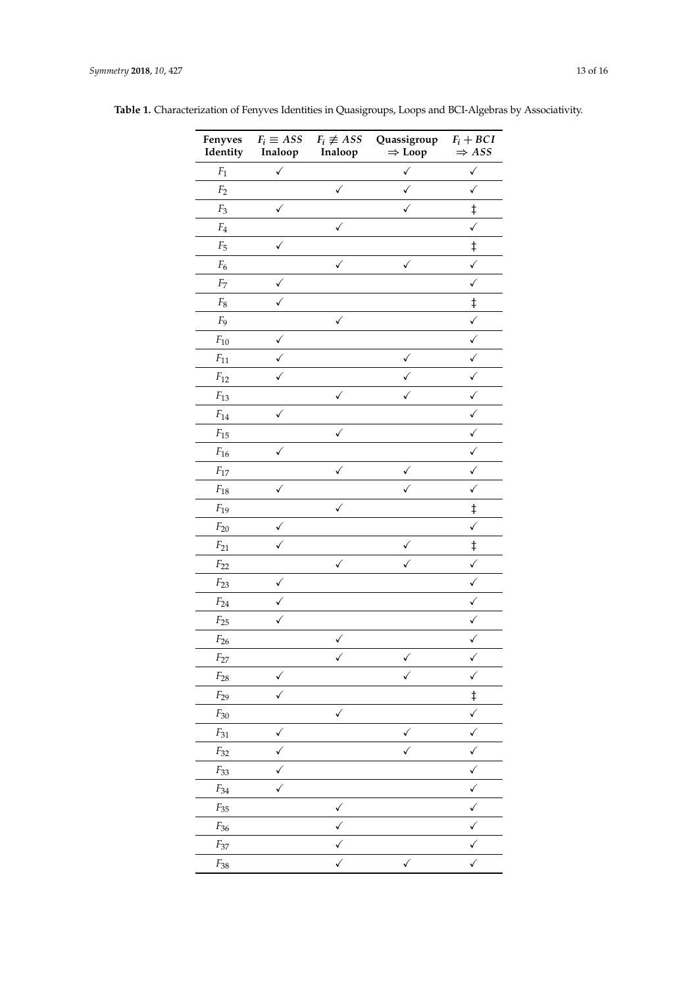| Fenyves<br>Identity | $F_i \equiv ASS$<br>Inaloop | $F_i \not\equiv ASS$<br>Inaloop | Quassigroup<br>$\Rightarrow$ Loop | $F_i + BCI$<br>$\Rightarrow$ ASS |
|---------------------|-----------------------------|---------------------------------|-----------------------------------|----------------------------------|
| $\mathbb{F}_1$      | $\checkmark$                |                                 | ✓                                 | $\checkmark$                     |
| F <sub>2</sub>      |                             | ✓                               | ✓                                 | ✓                                |
| $F_3$               | $\checkmark$                |                                 | $\checkmark$                      | $\ddagger$                       |
| $\mathbb{F}_4$      |                             | ✓                               |                                   | $\checkmark$                     |
| $F_5$               | ✓                           |                                 |                                   | $\ddagger$                       |
| $F_6$               |                             | ✓                               | ✓                                 | $\checkmark$                     |
| $\mathbb{F}_7$      | ✓                           |                                 |                                   | $\checkmark$                     |
| $\mathbb{F}_8$      |                             |                                 |                                   | $\ddagger$                       |
| F <sub>9</sub>      |                             | ✓                               |                                   | $\checkmark$                     |
| $F_{10}$            | ✓                           |                                 |                                   | $\checkmark$                     |
| $F_{11}$            |                             |                                 | ✓                                 | $\checkmark$                     |
| $F_{12}$            |                             |                                 | ✓                                 | ✓                                |
| $F_{13}$            |                             | ✓                               | ✓                                 | ✓                                |
| $F_{14}$            | ✓                           |                                 |                                   | $\checkmark$                     |
| $F_{15}$            |                             | ✓                               |                                   | $\checkmark$                     |
| $F_{16}$            | ✓                           |                                 |                                   | ✓                                |
| $F_{17}$            |                             | ✓                               |                                   | $\checkmark$                     |
| $F_{18}$            | ✓                           |                                 | ✓                                 | $\checkmark$                     |
| $F_{19}$            |                             | ✓                               |                                   | $\ddagger$                       |
| $F_{20}$            | ✓                           |                                 |                                   | $\checkmark$                     |
| $F_{21}$            | ✓                           |                                 | ✓                                 | $\ddagger$                       |
| $F_{22}$            |                             | $\checkmark$                    | ✓                                 | $\checkmark$                     |
| $F_{23}$            | ✓                           |                                 |                                   | $\checkmark$                     |
| $F_{24}$            |                             |                                 |                                   | $\checkmark$                     |
| $F_{25}$            | ✓                           |                                 |                                   | √                                |
| $F_{26}$            |                             | ✓                               |                                   |                                  |
| $F_{\rm 27}$        |                             | $\checkmark$                    | ✓                                 | ✓                                |
| $\mathcal{F}_{28}$  | $\checkmark$                |                                 | ✓                                 | ✓                                |
| $F_{29}$            | $\checkmark$                |                                 |                                   | $\ddagger$                       |
| $F_{30}$            |                             | $\checkmark$                    |                                   | $\checkmark$                     |
| ${\cal F}_{31}$     | $\checkmark$                |                                 | ✓                                 | $\checkmark$                     |
| $F_{32}$            | $\checkmark$                |                                 | $\checkmark$                      | $\checkmark$                     |
| $F_{33}$            | $\checkmark$                |                                 |                                   | $\checkmark$                     |
| $\mathbb{F}_{34}$   | $\checkmark$                |                                 |                                   | ✓                                |
| $\mathcal{F}_{35}$  |                             | $\checkmark$                    |                                   | $\checkmark$                     |
| $F_{36}$            |                             | $\checkmark$                    |                                   | $\checkmark$                     |
| $F_{37}$            |                             | $\checkmark$                    |                                   | ✓                                |
| $\mathcal{F}_{38}$  |                             | $\checkmark$                    | $\checkmark$                      | $\checkmark$                     |

**Table 1.** Characterization of Fenyves Identities in Quasigroups, Loops and BCI-Algebras by Associativity.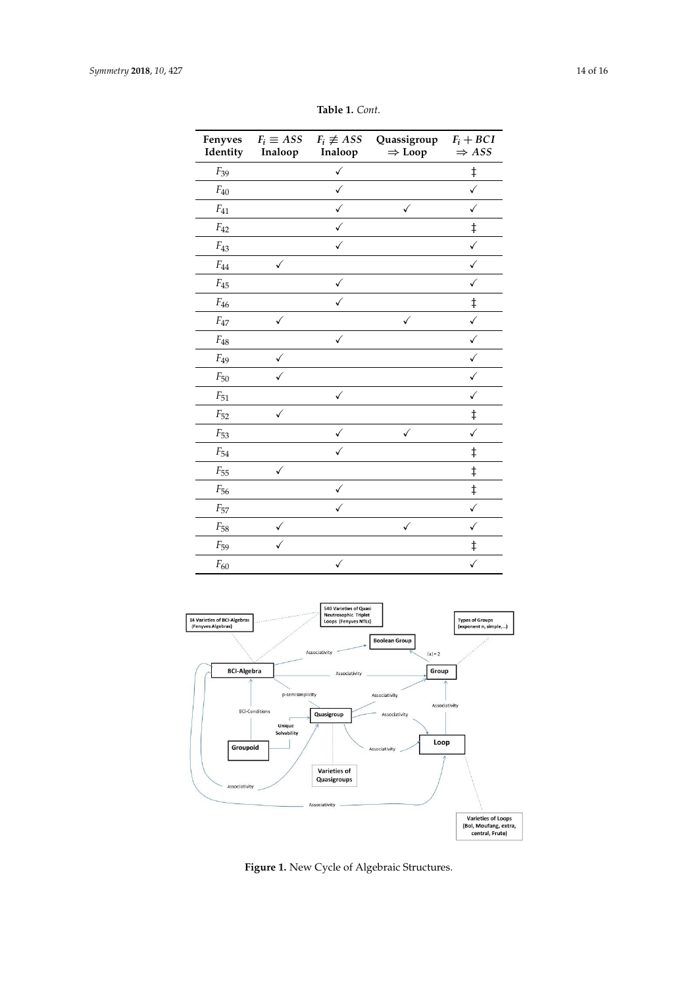<span id="page-13-0"></span>

| Fenyves<br>Identity | $F_i \equiv ASS$<br>Inaloop | $F_i \not\equiv ASS$<br>Inaloop | Quassigroup<br>$\Rightarrow$ Loop | $F_i + BCI$<br>$\Rightarrow$ ASS |
|---------------------|-----------------------------|---------------------------------|-----------------------------------|----------------------------------|
| $F_{39}$            |                             | ✓                               |                                   | ŧ                                |
| $F_{40}$            |                             | $\checkmark$                    |                                   | ✓                                |
| $F_{41}$            |                             | ✓                               | ✓                                 | ✓                                |
| $F_{42}$            |                             | ✓                               |                                   | $\ddagger$                       |
| $F_{43}$            |                             | $\checkmark$                    |                                   | ✓                                |
| $F_{44}$            | ✓                           |                                 |                                   | $\checkmark$                     |
| $F_{45}$            |                             | ✓                               |                                   | $\checkmark$                     |
| $F_{46}$            |                             |                                 |                                   | $\ddagger$                       |
| $F_{47}$            | ✓                           |                                 | $\checkmark$                      | ✓                                |
| $F_{48}$            |                             | ✓                               |                                   |                                  |
| $F_{49}$            | ✓                           |                                 |                                   |                                  |
| $F_{50}$            |                             |                                 |                                   |                                  |
| $F_{51}$            |                             | $\checkmark$                    |                                   | ✓                                |
| $F_{52}$            | $\checkmark$                |                                 |                                   | $\ddagger$                       |
| $F_{53}$            |                             | ✓                               | ✓                                 | ✓                                |
| $F_{54}$            |                             | ✓                               |                                   | $\ddagger$                       |
| $F_{55}$            | ✓                           |                                 |                                   | $\ddagger$                       |
| $F_{56}$            |                             | ✓                               |                                   | $\ddagger$                       |
| $F_{57}$            |                             | ✓                               |                                   |                                  |
| $F_{58}$            | ✓                           |                                 | ✓                                 |                                  |
| $F_{59}$            |                             |                                 |                                   | $\ddagger$                       |
| $F_{60}$            |                             | ✓                               |                                   | ✓                                |

**Table 1.** *Cont.*

<span id="page-13-1"></span>

**Figure 1.** New Cycle of Algebraic Structures.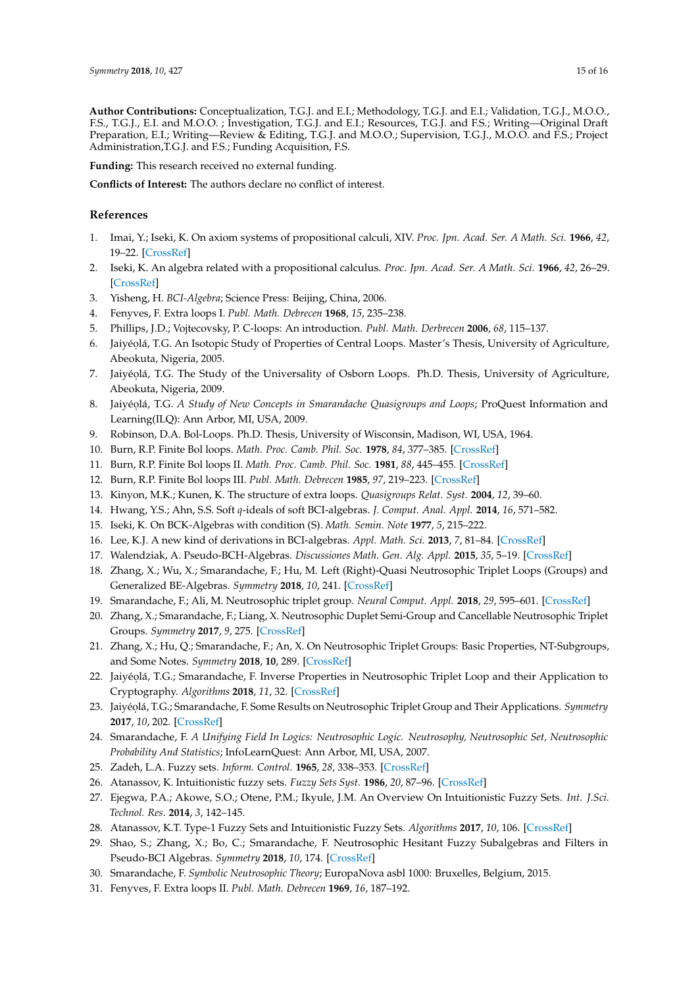**Author Contributions:** Conceptualization, T.G.J. and E.I.; Methodology, T.G.J. and E.I.; Validation, T.G.J., M.O.O., F.S., T.G.J., E.I. and M.O.O. ; Investigation, T.G.J. and E.I.; Resources, T.G.J. and F.S.; Writing—Original Draft Preparation, E.I.; Writing—Review & Editing, T.G.J. and M.O.O.; Supervision, T.G.J., M.O.O. and F.S.; Project Administration,T.G.J. and F.S.; Funding Acquisition, F.S.

**Funding:** This research received no external funding.

**Conflicts of Interest:** The authors declare no conflict of interest.

#### **References**

- <span id="page-14-0"></span>1. Imai, Y.; Iseki, K. On axiom systems of propositional calculi, XIV. *Proc. Jpn. Acad. Ser. A Math. Sci.* **1966**, *42*, 19–22. [\[CrossRef\]](http://dx.doi.org/10.3792/pja/1195522169)
- <span id="page-14-1"></span>2. Iseki, K. An algebra related with a propositional calculus. *Proc. Jpn. Acad. Ser. A Math. Sci.* **1966**, *42*, 26–29. [\[CrossRef\]](http://dx.doi.org/10.3792/pja/1195522171)
- <span id="page-14-2"></span>3. Yisheng, H. *BCI-Algebra*; Science Press: Beijing, China, 2006.
- <span id="page-14-3"></span>4. Fenyves, F. Extra loops I. *Publ. Math. Debrecen* **1968**, *15*, 235–238.
- <span id="page-14-4"></span>5. Phillips, J.D.; Vojtecovsky, P. C-loops: An introduction. *Publ. Math. Derbrecen* **2006**, *68*, 115–137.
- <span id="page-14-5"></span>6. Jaiyéolá, T.G. An Isotopic Study of Properties of Central Loops. Master's Thesis, University of Agriculture, Abeokuta, Nigeria, 2005.
- 7. Jaiyéolá, T.G. The Study of the Universality of Osborn Loops. Ph.D. Thesis, University of Agriculture, Abeokuta, Nigeria, 2009.
- <span id="page-14-6"></span>8. Jaiyéolá, T.G. *A Study of New Concepts in Smarandache Quasigroups and Loops; ProQuest Information and* Learning(ILQ): Ann Arbor, MI, USA, 2009.
- <span id="page-14-7"></span>9. Robinson, D.A. Bol-Loops. Ph.D. Thesis, University of Wisconsin, Madison, WI, USA, 1964.
- <span id="page-14-8"></span>10. Burn, R.P. Finite Bol loops. *Math. Proc. Camb. Phil. Soc.* **1978**, *84*, 377–385. [\[CrossRef\]](http://dx.doi.org/10.1017/S0305004100055213)
- 11. Burn, R.P. Finite Bol loops II. *Math. Proc. Camb. Phil. Soc.* **1981**, *88*, 445–455. [\[CrossRef\]](http://dx.doi.org/10.1017/S0305004100058357)
- <span id="page-14-9"></span>12. Burn, R.P. Finite Bol loops III. *Publ. Math. Debrecen* **1985**, *97*, 219–223. [\[CrossRef\]](http://dx.doi.org/10.1017/S0305004100062770)
- <span id="page-14-10"></span>13. Kinyon, M.K.; Kunen, K. The structure of extra loops. *Quasigroups Relat. Syst.* **2004**, *12*, 39–60.
- <span id="page-14-11"></span>14. Hwang, Y.S.; Ahn, S.S. Soft *q*-ideals of soft BCI-algebras. *J. Comput. Anal. Appl.* **2014**, *16*, 571–582.
- 15. Iseki, K. On BCK-Algebras with condition (S). *Math. Semin. Note* **1977**, *5*, 215–222.
- 16. Lee, K.J. A new kind of derivations in BCI-algebras. *Appl. Math. Sci.* **2013**, *7*, 81–84. [\[CrossRef\]](http://dx.doi.org/10.12988/ams.2013.24298)
- <span id="page-14-12"></span>17. Walendziak, A. Pseudo-BCH-Algebras. *Discussiones Math. Gen. Alg. Appl.* **2015**, *35*, 5–19. [\[CrossRef\]](http://dx.doi.org/10.7151/dmgaa.1233)
- <span id="page-14-13"></span>18. Zhang, X.; Wu, X.; Smarandache, F.; Hu, M. Left (Right)-Quasi Neutrosophic Triplet Loops (Groups) and Generalized BE-Algebras. *Symmetry* **2018**, *10*, 241. [\[CrossRef\]](http://dx.doi.org/10.3390/sym10070241)
- <span id="page-14-14"></span>19. Smarandache, F.; Ali, M. Neutrosophic triplet group. *Neural Comput. Appl.* **2018**, *29*, 595–601. [\[CrossRef\]](http://dx.doi.org/10.1007/s00521-016-2535-x)
- <span id="page-14-15"></span>20. Zhang, X.; Smarandache, F.; Liang, X. Neutrosophic Duplet Semi-Group and Cancellable Neutrosophic Triplet Groups. *Symmetry* **2017**, *9*, 275. [\[CrossRef\]](http://dx.doi.org/10.3390/sym9110275)
- <span id="page-14-16"></span>21. Zhang, X.; Hu, Q.; Smarandache, F.; An, X. On Neutrosophic Triplet Groups: Basic Properties, NT-Subgroups, and Some Notes. *Symmetry* **2018**, **10**, 289. [\[CrossRef\]](http://dx.doi.org/10.3390/sym10070289)
- <span id="page-14-17"></span>22. Jaiyéolá, T.G.; Smarandache, F. Inverse Properties in Neutrosophic Triplet Loop and their Application to Cryptography. *Algorithms* **2018**, *11*, 32. [\[CrossRef\]](http://dx.doi.org/10.3390/a11030032)
- <span id="page-14-18"></span>23. Jaiyéolá, T.G.; Smarandache, F. Some Results on Neutrosophic Triplet Group and Their Applications. *Symmetry* **2017**, *10*, 202. [\[CrossRef\]](http://dx.doi.org/10.3390/sym10060202)
- <span id="page-14-19"></span>24. Smarandache, F. *A Unifying Field In Logics: Neutrosophic Logic. Neutrosophy, Neutrosophic Set, Neutrosophic Probability And Statistics*; InfoLearnQuest: Ann Arbor, MI, USA, 2007.
- <span id="page-14-20"></span>25. Zadeh, L.A. Fuzzy sets. *Inform. Control*. **1965**, *28*, 338–353. [\[CrossRef\]](http://dx.doi.org/10.1016/S0019-9958(65)90241-X)
- 26. Atanassov, K. Intuitionistic fuzzy sets. *Fuzzy Sets Syst*. **1986**, *20*, 87–96. [\[CrossRef\]](http://dx.doi.org/10.1016/S0165-0114(86)80034-3)
- 27. Ejegwa, P.A.; Akowe, S.O.; Otene, P.M.; Ikyule, J.M. An Overview On Intuitionistic Fuzzy Sets. *Int. J.Sci. Technol. Res*. **2014**, *3*, 142–145.
- <span id="page-14-21"></span>28. Atanassov, K.T. Type-1 Fuzzy Sets and Intuitionistic Fuzzy Sets. *Algorithms* **2017**, *10*, 106. [\[CrossRef\]](http://dx.doi.org/10.3390/a10030106)
- <span id="page-14-22"></span>29. Shao, S.; Zhang, X.; Bo, C.; Smarandache, F. Neutrosophic Hesitant Fuzzy Subalgebras and Filters in Pseudo-BCI Algebras. *Symmetry* **2018**, *10*, 174. [\[CrossRef\]](http://dx.doi.org/10.3390/sym10050174)
- <span id="page-14-23"></span>30. Smarandache, F. *Symbolic Neutrosophic Theory*; EuropaNova asbl 1000: Bruxelles, Belgium, 2015.
- <span id="page-14-24"></span>31. Fenyves, F. Extra loops II. *Publ. Math. Debrecen* **1969**, *16*, 187–192.